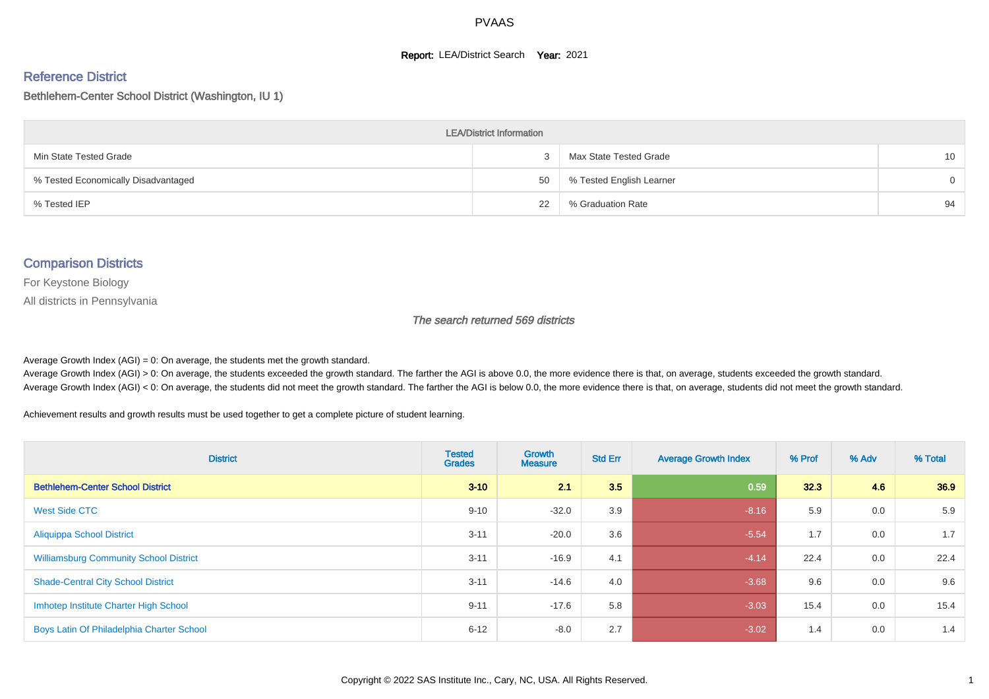#### **Report: LEA/District Search Year: 2021**

#### Reference District

#### Bethlehem-Center School District (Washington, IU 1)

| <b>LEA/District Information</b>     |    |                          |          |  |  |  |  |  |  |  |
|-------------------------------------|----|--------------------------|----------|--|--|--|--|--|--|--|
| Min State Tested Grade              |    | Max State Tested Grade   | 10       |  |  |  |  |  |  |  |
| % Tested Economically Disadvantaged | 50 | % Tested English Learner | $\Omega$ |  |  |  |  |  |  |  |
| % Tested IEP                        | 22 | % Graduation Rate        | 94       |  |  |  |  |  |  |  |

#### Comparison Districts

For Keystone Biology

All districts in Pennsylvania

The search returned 569 districts

Average Growth Index  $(AGI) = 0$ : On average, the students met the growth standard.

Average Growth Index (AGI) > 0: On average, the students exceeded the growth standard. The farther the AGI is above 0.0, the more evidence there is that, on average, students exceeded the growth standard. Average Growth Index (AGI) < 0: On average, the students did not meet the growth standard. The farther the AGI is below 0.0, the more evidence there is that, on average, students did not meet the growth standard.

Achievement results and growth results must be used together to get a complete picture of student learning.

| <b>District</b>                               | <b>Tested</b><br><b>Grades</b> | Growth<br><b>Measure</b> | <b>Std Err</b> | <b>Average Growth Index</b> | % Prof | % Adv | % Total |
|-----------------------------------------------|--------------------------------|--------------------------|----------------|-----------------------------|--------|-------|---------|
| <b>Bethlehem-Center School District</b>       | $3 - 10$                       | 21                       | 3.5            | 0.59                        | 32.3   | 4.6   | 36.9    |
| <b>West Side CTC</b>                          | $9 - 10$                       | $-32.0$                  | 3.9            | $-8.16$                     | 5.9    | 0.0   | 5.9     |
| <b>Aliquippa School District</b>              | $3 - 11$                       | $-20.0$                  | 3.6            | $-5.54$                     | 1.7    | 0.0   | 1.7     |
| <b>Williamsburg Community School District</b> | $3 - 11$                       | $-16.9$                  | 4.1            | $-4.14$                     | 22.4   | 0.0   | 22.4    |
| <b>Shade-Central City School District</b>     | $3 - 11$                       | $-14.6$                  | 4.0            | $-3.68$                     | 9.6    | 0.0   | 9.6     |
| Imhotep Institute Charter High School         | $9 - 11$                       | $-17.6$                  | 5.8            | $-3.03$                     | 15.4   | 0.0   | 15.4    |
| Boys Latin Of Philadelphia Charter School     | $6 - 12$                       | $-8.0$                   | 2.7            | $-3.02$                     | 1.4    | 0.0   | 1.4     |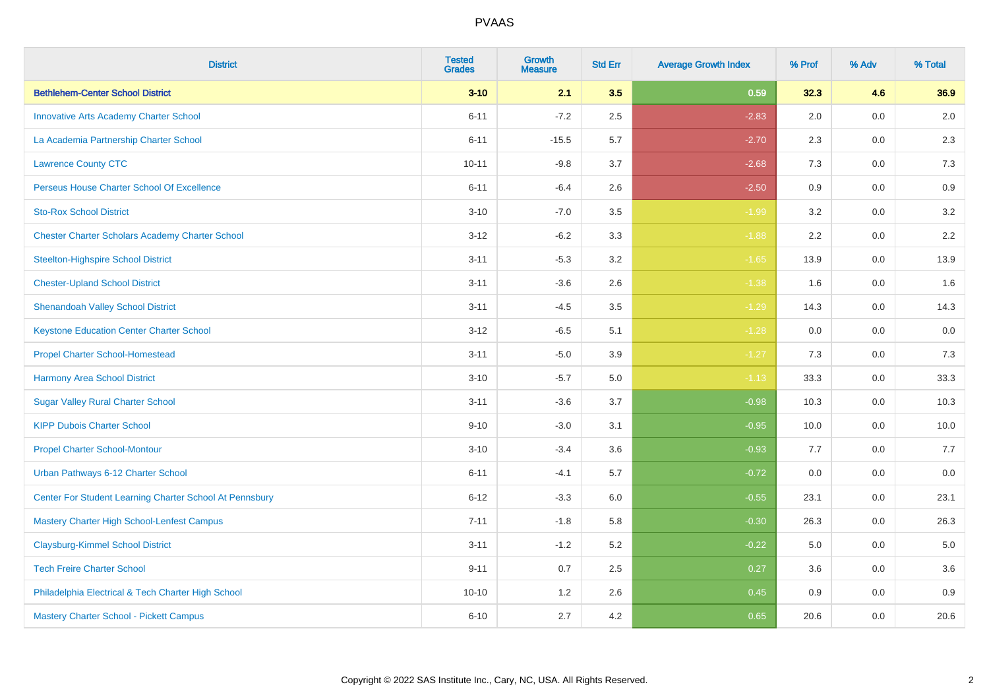| <b>District</b>                                         | <b>Tested</b><br><b>Grades</b> | <b>Growth</b><br><b>Measure</b> | <b>Std Err</b> | <b>Average Growth Index</b> | % Prof | % Adv   | % Total |
|---------------------------------------------------------|--------------------------------|---------------------------------|----------------|-----------------------------|--------|---------|---------|
| <b>Bethlehem-Center School District</b>                 | $3 - 10$                       | 2.1                             | 3.5            | 0.59                        | 32.3   | 4.6     | 36.9    |
| <b>Innovative Arts Academy Charter School</b>           | $6 - 11$                       | $-7.2$                          | 2.5            | $-2.83$                     | 2.0    | 0.0     | $2.0\,$ |
| La Academia Partnership Charter School                  | $6 - 11$                       | $-15.5$                         | 5.7            | $-2.70$                     | 2.3    | 0.0     | 2.3     |
| <b>Lawrence County CTC</b>                              | $10 - 11$                      | $-9.8$                          | 3.7            | $-2.68$                     | 7.3    | 0.0     | 7.3     |
| Perseus House Charter School Of Excellence              | $6 - 11$                       | $-6.4$                          | 2.6            | $-2.50$                     | 0.9    | 0.0     | 0.9     |
| <b>Sto-Rox School District</b>                          | $3 - 10$                       | $-7.0$                          | 3.5            | $-1.99$                     | 3.2    | 0.0     | 3.2     |
| <b>Chester Charter Scholars Academy Charter School</b>  | $3 - 12$                       | $-6.2$                          | 3.3            | $-1.88$                     | 2.2    | $0.0\,$ | 2.2     |
| <b>Steelton-Highspire School District</b>               | $3 - 11$                       | $-5.3$                          | 3.2            | $-1.65$                     | 13.9   | 0.0     | 13.9    |
| <b>Chester-Upland School District</b>                   | $3 - 11$                       | $-3.6$                          | 2.6            | $-1.38$                     | 1.6    | 0.0     | 1.6     |
| <b>Shenandoah Valley School District</b>                | $3 - 11$                       | $-4.5$                          | 3.5            | $-1.29$                     | 14.3   | 0.0     | 14.3    |
| <b>Keystone Education Center Charter School</b>         | $3 - 12$                       | $-6.5$                          | 5.1            | $-1.28$                     | 0.0    | 0.0     | 0.0     |
| <b>Propel Charter School-Homestead</b>                  | $3 - 11$                       | $-5.0$                          | 3.9            | $-1.27$                     | 7.3    | 0.0     | 7.3     |
| <b>Harmony Area School District</b>                     | $3 - 10$                       | $-5.7$                          | 5.0            | $-1.13$                     | 33.3   | 0.0     | 33.3    |
| <b>Sugar Valley Rural Charter School</b>                | $3 - 11$                       | $-3.6$                          | 3.7            | $-0.98$                     | 10.3   | 0.0     | 10.3    |
| <b>KIPP Dubois Charter School</b>                       | $9 - 10$                       | $-3.0$                          | 3.1            | $-0.95$                     | 10.0   | 0.0     | 10.0    |
| <b>Propel Charter School-Montour</b>                    | $3 - 10$                       | $-3.4$                          | 3.6            | $-0.93$                     | 7.7    | $0.0\,$ | 7.7     |
| Urban Pathways 6-12 Charter School                      | $6 - 11$                       | $-4.1$                          | 5.7            | $-0.72$                     | 0.0    | 0.0     | $0.0\,$ |
| Center For Student Learning Charter School At Pennsbury | $6 - 12$                       | $-3.3$                          | 6.0            | $-0.55$                     | 23.1   | 0.0     | 23.1    |
| Mastery Charter High School-Lenfest Campus              | $7 - 11$                       | $-1.8$                          | 5.8            | $-0.30$                     | 26.3   | 0.0     | 26.3    |
| <b>Claysburg-Kimmel School District</b>                 | $3 - 11$                       | $-1.2$                          | 5.2            | $-0.22$                     | 5.0    | 0.0     | 5.0     |
| <b>Tech Freire Charter School</b>                       | $9 - 11$                       | 0.7                             | 2.5            | 0.27                        | 3.6    | 0.0     | 3.6     |
| Philadelphia Electrical & Tech Charter High School      | $10 - 10$                      | 1.2                             | 2.6            | 0.45                        | 0.9    | 0.0     | 0.9     |
| Mastery Charter School - Pickett Campus                 | $6 - 10$                       | 2.7                             | 4.2            | 0.65                        | 20.6   | 0.0     | 20.6    |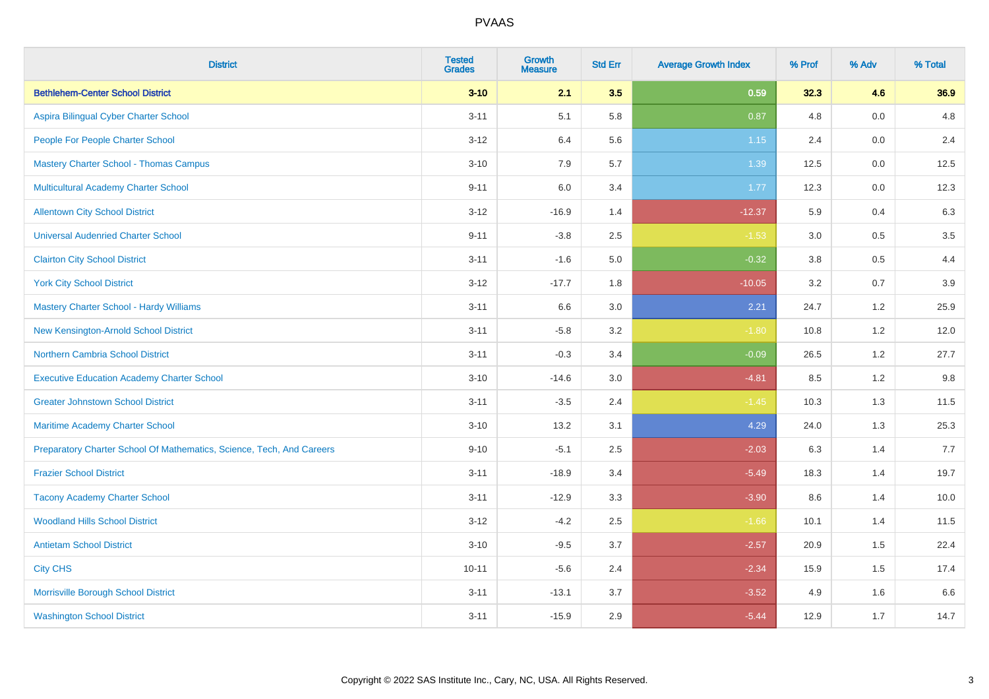| <b>District</b>                                                       | <b>Tested</b><br><b>Grades</b> | Growth<br><b>Measure</b> | <b>Std Err</b> | <b>Average Growth Index</b> | % Prof | % Adv | % Total |
|-----------------------------------------------------------------------|--------------------------------|--------------------------|----------------|-----------------------------|--------|-------|---------|
| <b>Bethlehem-Center School District</b>                               | $3 - 10$                       | 2.1                      | 3.5            | 0.59                        | 32.3   | 4.6   | 36.9    |
| Aspira Bilingual Cyber Charter School                                 | $3 - 11$                       | 5.1                      | 5.8            | 0.87                        | 4.8    | 0.0   | 4.8     |
| People For People Charter School                                      | $3 - 12$                       | 6.4                      | 5.6            | 1.15                        | 2.4    | 0.0   | 2.4     |
| <b>Mastery Charter School - Thomas Campus</b>                         | $3 - 10$                       | 7.9                      | 5.7            | 1.39                        | 12.5   | 0.0   | 12.5    |
| Multicultural Academy Charter School                                  | $9 - 11$                       | 6.0                      | 3.4            | 1.77                        | 12.3   | 0.0   | 12.3    |
| <b>Allentown City School District</b>                                 | $3 - 12$                       | $-16.9$                  | 1.4            | $-12.37$                    | 5.9    | 0.4   | 6.3     |
| <b>Universal Audenried Charter School</b>                             | $9 - 11$                       | $-3.8$                   | 2.5            | $-1.53$                     | 3.0    | 0.5   | $3.5\,$ |
| <b>Clairton City School District</b>                                  | $3 - 11$                       | $-1.6$                   | $5.0\,$        | $-0.32$                     | 3.8    | 0.5   | 4.4     |
| <b>York City School District</b>                                      | $3 - 12$                       | $-17.7$                  | 1.8            | $-10.05$                    | 3.2    | 0.7   | 3.9     |
| <b>Mastery Charter School - Hardy Williams</b>                        | $3 - 11$                       | 6.6                      | 3.0            | 2.21                        | 24.7   | 1.2   | 25.9    |
| New Kensington-Arnold School District                                 | $3 - 11$                       | $-5.8$                   | 3.2            | $-1.80$                     | 10.8   | 1.2   | 12.0    |
| <b>Northern Cambria School District</b>                               | $3 - 11$                       | $-0.3$                   | 3.4            | $-0.09$                     | 26.5   | 1.2   | 27.7    |
| <b>Executive Education Academy Charter School</b>                     | $3 - 10$                       | $-14.6$                  | 3.0            | $-4.81$                     | 8.5    | 1.2   | 9.8     |
| <b>Greater Johnstown School District</b>                              | $3 - 11$                       | $-3.5$                   | 2.4            | $-1.45$                     | 10.3   | 1.3   | 11.5    |
| Maritime Academy Charter School                                       | $3 - 10$                       | 13.2                     | 3.1            | 4.29                        | 24.0   | 1.3   | 25.3    |
| Preparatory Charter School Of Mathematics, Science, Tech, And Careers | $9 - 10$                       | $-5.1$                   | 2.5            | $-2.03$                     | 6.3    | 1.4   | 7.7     |
| <b>Frazier School District</b>                                        | $3 - 11$                       | $-18.9$                  | 3.4            | $-5.49$                     | 18.3   | 1.4   | 19.7    |
| <b>Tacony Academy Charter School</b>                                  | $3 - 11$                       | $-12.9$                  | 3.3            | $-3.90$                     | 8.6    | 1.4   | 10.0    |
| <b>Woodland Hills School District</b>                                 | $3 - 12$                       | $-4.2$                   | 2.5            | $-1.66$                     | 10.1   | 1.4   | 11.5    |
| <b>Antietam School District</b>                                       | $3 - 10$                       | $-9.5$                   | 3.7            | $-2.57$                     | 20.9   | 1.5   | 22.4    |
| <b>City CHS</b>                                                       | $10 - 11$                      | $-5.6$                   | 2.4            | $-2.34$                     | 15.9   | 1.5   | 17.4    |
| Morrisville Borough School District                                   | $3 - 11$                       | $-13.1$                  | 3.7            | $-3.52$                     | 4.9    | 1.6   | 6.6     |
| <b>Washington School District</b>                                     | $3 - 11$                       | $-15.9$                  | 2.9            | $-5.44$                     | 12.9   | 1.7   | 14.7    |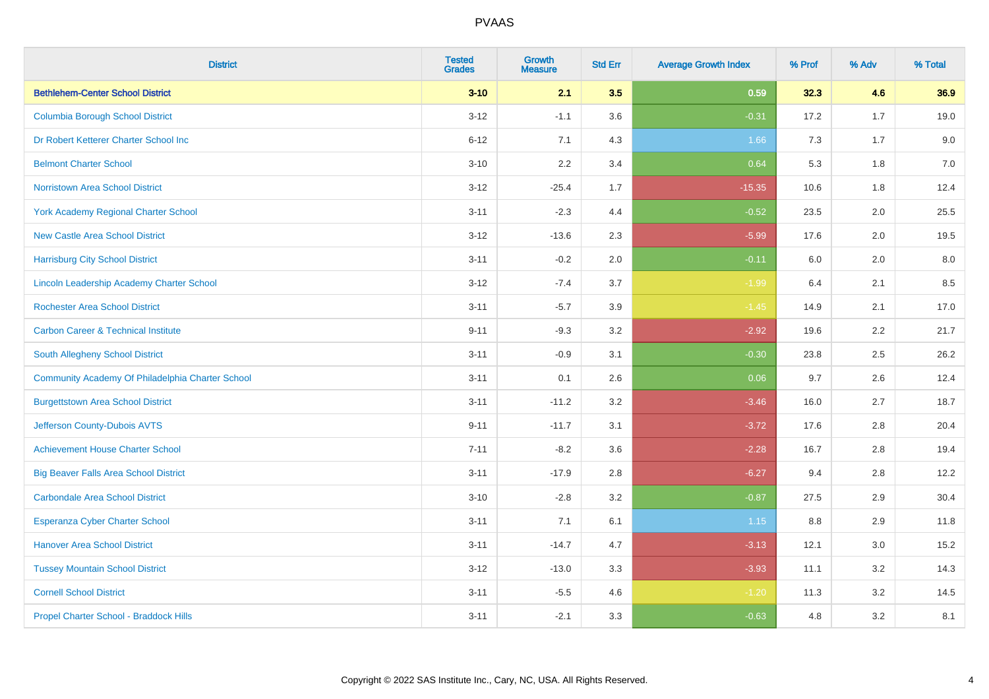| <b>District</b>                                  | <b>Tested</b><br><b>Grades</b> | <b>Growth</b><br><b>Measure</b> | <b>Std Err</b> | <b>Average Growth Index</b> | % Prof | % Adv | % Total |
|--------------------------------------------------|--------------------------------|---------------------------------|----------------|-----------------------------|--------|-------|---------|
| <b>Bethlehem-Center School District</b>          | $3 - 10$                       | 2.1                             | 3.5            | 0.59                        | 32.3   | 4.6   | 36.9    |
| <b>Columbia Borough School District</b>          | $3 - 12$                       | $-1.1$                          | 3.6            | $-0.31$                     | 17.2   | 1.7   | 19.0    |
| Dr Robert Ketterer Charter School Inc            | $6 - 12$                       | 7.1                             | 4.3            | 1.66                        | 7.3    | 1.7   | 9.0     |
| <b>Belmont Charter School</b>                    | $3 - 10$                       | 2.2                             | 3.4            | 0.64                        | 5.3    | 1.8   | $7.0$   |
| <b>Norristown Area School District</b>           | $3 - 12$                       | $-25.4$                         | 1.7            | $-15.35$                    | 10.6   | 1.8   | 12.4    |
| <b>York Academy Regional Charter School</b>      | $3 - 11$                       | $-2.3$                          | 4.4            | $-0.52$                     | 23.5   | 2.0   | 25.5    |
| <b>New Castle Area School District</b>           | $3 - 12$                       | $-13.6$                         | 2.3            | $-5.99$                     | 17.6   | 2.0   | 19.5    |
| <b>Harrisburg City School District</b>           | $3 - 11$                       | $-0.2$                          | 2.0            | $-0.11$                     | 6.0    | 2.0   | 8.0     |
| Lincoln Leadership Academy Charter School        | $3 - 12$                       | $-7.4$                          | 3.7            | $-1.99$                     | 6.4    | 2.1   | 8.5     |
| <b>Rochester Area School District</b>            | $3 - 11$                       | $-5.7$                          | 3.9            | $-1.45$                     | 14.9   | 2.1   | 17.0    |
| <b>Carbon Career &amp; Technical Institute</b>   | $9 - 11$                       | $-9.3$                          | 3.2            | $-2.92$                     | 19.6   | 2.2   | 21.7    |
| <b>South Allegheny School District</b>           | $3 - 11$                       | $-0.9$                          | 3.1            | $-0.30$                     | 23.8   | 2.5   | 26.2    |
| Community Academy Of Philadelphia Charter School | $3 - 11$                       | 0.1                             | 2.6            | 0.06                        | 9.7    | 2.6   | 12.4    |
| <b>Burgettstown Area School District</b>         | $3 - 11$                       | $-11.2$                         | 3.2            | $-3.46$                     | 16.0   | 2.7   | 18.7    |
| Jefferson County-Dubois AVTS                     | $9 - 11$                       | $-11.7$                         | 3.1            | $-3.72$                     | 17.6   | 2.8   | 20.4    |
| <b>Achievement House Charter School</b>          | $7 - 11$                       | $-8.2$                          | 3.6            | $-2.28$                     | 16.7   | 2.8   | 19.4    |
| <b>Big Beaver Falls Area School District</b>     | $3 - 11$                       | $-17.9$                         | 2.8            | $-6.27$                     | 9.4    | 2.8   | 12.2    |
| <b>Carbondale Area School District</b>           | $3 - 10$                       | $-2.8$                          | 3.2            | $-0.87$                     | 27.5   | 2.9   | 30.4    |
| <b>Esperanza Cyber Charter School</b>            | $3 - 11$                       | 7.1                             | 6.1            | 1.15                        | 8.8    | 2.9   | 11.8    |
| <b>Hanover Area School District</b>              | $3 - 11$                       | $-14.7$                         | 4.7            | $-3.13$                     | 12.1   | 3.0   | 15.2    |
| <b>Tussey Mountain School District</b>           | $3 - 12$                       | $-13.0$                         | 3.3            | $-3.93$                     | 11.1   | 3.2   | 14.3    |
| <b>Cornell School District</b>                   | $3 - 11$                       | $-5.5$                          | 4.6            | $-1.20$                     | 11.3   | 3.2   | 14.5    |
| Propel Charter School - Braddock Hills           | $3 - 11$                       | $-2.1$                          | 3.3            | $-0.63$                     | 4.8    | 3.2   | 8.1     |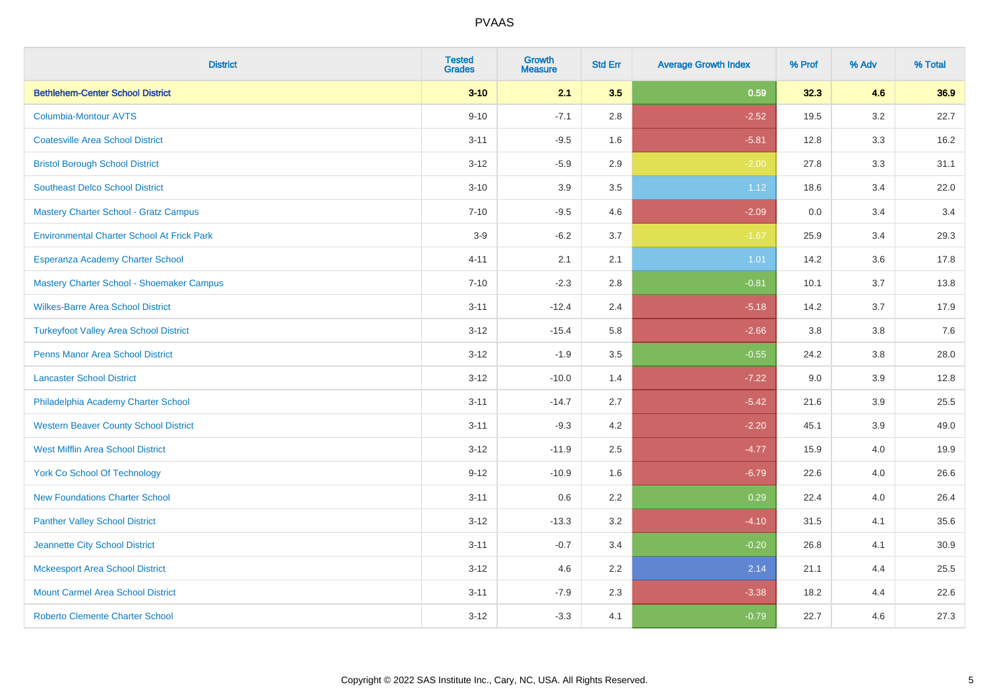| <b>District</b>                                   | <b>Tested</b><br><b>Grades</b> | <b>Growth</b><br><b>Measure</b> | <b>Std Err</b> | <b>Average Growth Index</b> | % Prof | % Adv   | % Total |
|---------------------------------------------------|--------------------------------|---------------------------------|----------------|-----------------------------|--------|---------|---------|
| <b>Bethlehem-Center School District</b>           | $3 - 10$                       | 2.1                             | 3.5            | 0.59                        | 32.3   | 4.6     | 36.9    |
| <b>Columbia-Montour AVTS</b>                      | $9 - 10$                       | $-7.1$                          | 2.8            | $-2.52$                     | 19.5   | $3.2\,$ | 22.7    |
| <b>Coatesville Area School District</b>           | $3 - 11$                       | $-9.5$                          | 1.6            | $-5.81$                     | 12.8   | 3.3     | 16.2    |
| <b>Bristol Borough School District</b>            | $3 - 12$                       | $-5.9$                          | 2.9            | $-2.00$                     | 27.8   | 3.3     | 31.1    |
| <b>Southeast Delco School District</b>            | $3 - 10$                       | 3.9                             | 3.5            | 1.12                        | 18.6   | 3.4     | 22.0    |
| <b>Mastery Charter School - Gratz Campus</b>      | $7 - 10$                       | $-9.5$                          | 4.6            | $-2.09$                     | 0.0    | 3.4     | 3.4     |
| <b>Environmental Charter School At Frick Park</b> | $3-9$                          | $-6.2$                          | 3.7            | $-1.67$                     | 25.9   | 3.4     | 29.3    |
| Esperanza Academy Charter School                  | $4 - 11$                       | 2.1                             | 2.1            | 1.01                        | 14.2   | 3.6     | 17.8    |
| Mastery Charter School - Shoemaker Campus         | $7 - 10$                       | $-2.3$                          | 2.8            | $-0.81$                     | 10.1   | 3.7     | 13.8    |
| <b>Wilkes-Barre Area School District</b>          | $3 - 11$                       | $-12.4$                         | 2.4            | $-5.18$                     | 14.2   | 3.7     | 17.9    |
| <b>Turkeyfoot Valley Area School District</b>     | $3 - 12$                       | $-15.4$                         | 5.8            | $-2.66$                     | 3.8    | 3.8     | 7.6     |
| <b>Penns Manor Area School District</b>           | $3 - 12$                       | $-1.9$                          | 3.5            | $-0.55$                     | 24.2   | 3.8     | 28.0    |
| <b>Lancaster School District</b>                  | $3 - 12$                       | $-10.0$                         | 1.4            | $-7.22$                     | 9.0    | 3.9     | 12.8    |
| Philadelphia Academy Charter School               | $3 - 11$                       | $-14.7$                         | 2.7            | $-5.42$                     | 21.6   | 3.9     | 25.5    |
| <b>Western Beaver County School District</b>      | $3 - 11$                       | $-9.3$                          | 4.2            | $-2.20$                     | 45.1   | 3.9     | 49.0    |
| <b>West Mifflin Area School District</b>          | $3 - 12$                       | $-11.9$                         | 2.5            | $-4.77$                     | 15.9   | 4.0     | 19.9    |
| <b>York Co School Of Technology</b>               | $9 - 12$                       | $-10.9$                         | 1.6            | $-6.79$                     | 22.6   | 4.0     | 26.6    |
| <b>New Foundations Charter School</b>             | $3 - 11$                       | 0.6                             | 2.2            | 0.29                        | 22.4   | 4.0     | 26.4    |
| <b>Panther Valley School District</b>             | $3 - 12$                       | $-13.3$                         | 3.2            | $-4.10$                     | 31.5   | 4.1     | 35.6    |
| Jeannette City School District                    | $3 - 11$                       | $-0.7$                          | 3.4            | $-0.20$                     | 26.8   | 4.1     | 30.9    |
| <b>Mckeesport Area School District</b>            | $3 - 12$                       | 4.6                             | 2.2            | 2.14                        | 21.1   | 4.4     | 25.5    |
| <b>Mount Carmel Area School District</b>          | $3 - 11$                       | $-7.9$                          | 2.3            | $-3.38$                     | 18.2   | 4.4     | 22.6    |
| <b>Roberto Clemente Charter School</b>            | $3 - 12$                       | $-3.3$                          | 4.1            | $-0.79$                     | 22.7   | 4.6     | 27.3    |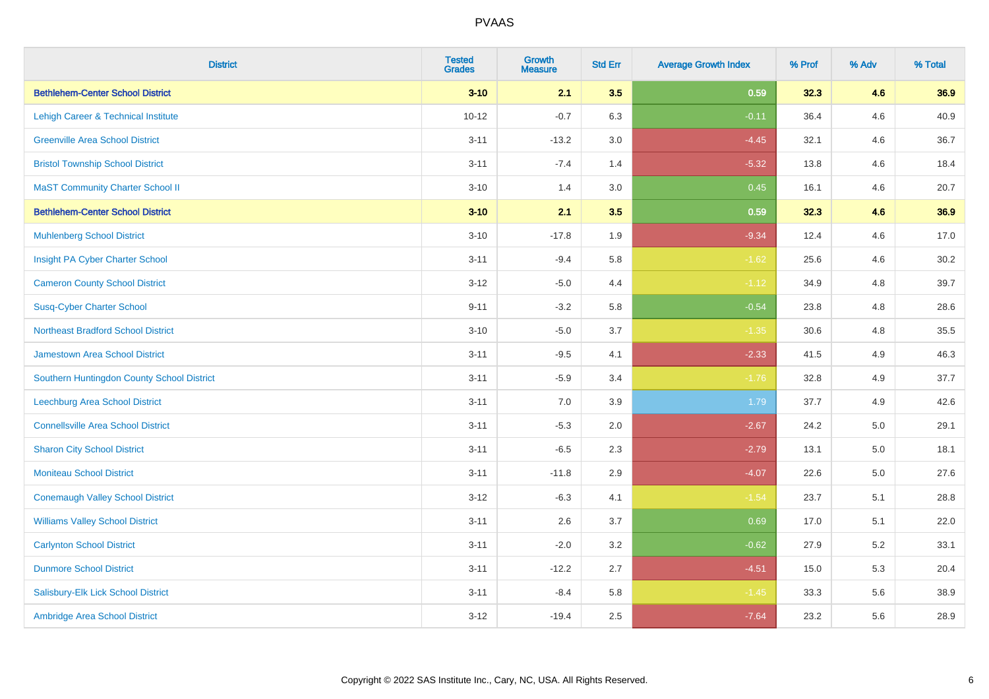| <b>District</b>                            | <b>Tested</b><br><b>Grades</b> | <b>Growth</b><br><b>Measure</b> | <b>Std Err</b> | <b>Average Growth Index</b> | % Prof | % Adv | % Total |
|--------------------------------------------|--------------------------------|---------------------------------|----------------|-----------------------------|--------|-------|---------|
| <b>Bethlehem-Center School District</b>    | $3 - 10$                       | 2.1                             | 3.5            | 0.59                        | 32.3   | 4.6   | 36.9    |
| Lehigh Career & Technical Institute        | $10 - 12$                      | $-0.7$                          | 6.3            | $-0.11$                     | 36.4   | 4.6   | 40.9    |
| <b>Greenville Area School District</b>     | $3 - 11$                       | $-13.2$                         | 3.0            | $-4.45$                     | 32.1   | 4.6   | 36.7    |
| <b>Bristol Township School District</b>    | $3 - 11$                       | $-7.4$                          | 1.4            | $-5.32$                     | 13.8   | 4.6   | 18.4    |
| <b>MaST Community Charter School II</b>    | $3 - 10$                       | 1.4                             | 3.0            | 0.45                        | 16.1   | 4.6   | 20.7    |
| <b>Bethlehem-Center School District</b>    | $3 - 10$                       | 2.1                             | 3.5            | 0.59                        | 32.3   | 4.6   | 36.9    |
| <b>Muhlenberg School District</b>          | $3 - 10$                       | $-17.8$                         | 1.9            | $-9.34$                     | 12.4   | 4.6   | 17.0    |
| Insight PA Cyber Charter School            | $3 - 11$                       | $-9.4$                          | 5.8            | $-1.62$                     | 25.6   | 4.6   | 30.2    |
| <b>Cameron County School District</b>      | $3 - 12$                       | $-5.0$                          | 4.4            | $-1.12$                     | 34.9   | 4.8   | 39.7    |
| <b>Susq-Cyber Charter School</b>           | $9 - 11$                       | $-3.2$                          | 5.8            | $-0.54$                     | 23.8   | 4.8   | 28.6    |
| <b>Northeast Bradford School District</b>  | $3 - 10$                       | $-5.0$                          | 3.7            | $-1.35$                     | 30.6   | 4.8   | 35.5    |
| <b>Jamestown Area School District</b>      | $3 - 11$                       | $-9.5$                          | 4.1            | $-2.33$                     | 41.5   | 4.9   | 46.3    |
| Southern Huntingdon County School District | $3 - 11$                       | $-5.9$                          | 3.4            | $-1.76$                     | 32.8   | 4.9   | 37.7    |
| <b>Leechburg Area School District</b>      | $3 - 11$                       | 7.0                             | 3.9            | 1.79                        | 37.7   | 4.9   | 42.6    |
| <b>Connellsville Area School District</b>  | $3 - 11$                       | $-5.3$                          | 2.0            | $-2.67$                     | 24.2   | 5.0   | 29.1    |
| <b>Sharon City School District</b>         | $3 - 11$                       | $-6.5$                          | 2.3            | $-2.79$                     | 13.1   | 5.0   | 18.1    |
| <b>Moniteau School District</b>            | $3 - 11$                       | $-11.8$                         | 2.9            | $-4.07$                     | 22.6   | 5.0   | 27.6    |
| <b>Conemaugh Valley School District</b>    | $3 - 12$                       | $-6.3$                          | 4.1            | $-1.54$                     | 23.7   | 5.1   | 28.8    |
| <b>Williams Valley School District</b>     | $3 - 11$                       | 2.6                             | 3.7            | 0.69                        | 17.0   | 5.1   | 22.0    |
| <b>Carlynton School District</b>           | $3 - 11$                       | $-2.0$                          | 3.2            | $-0.62$                     | 27.9   | 5.2   | 33.1    |
| <b>Dunmore School District</b>             | $3 - 11$                       | $-12.2$                         | 2.7            | $-4.51$                     | 15.0   | 5.3   | 20.4    |
| Salisbury-Elk Lick School District         | $3 - 11$                       | $-8.4$                          | 5.8            | $-1.45$                     | 33.3   | 5.6   | 38.9    |
| Ambridge Area School District              | $3 - 12$                       | $-19.4$                         | 2.5            | $-7.64$                     | 23.2   | 5.6   | 28.9    |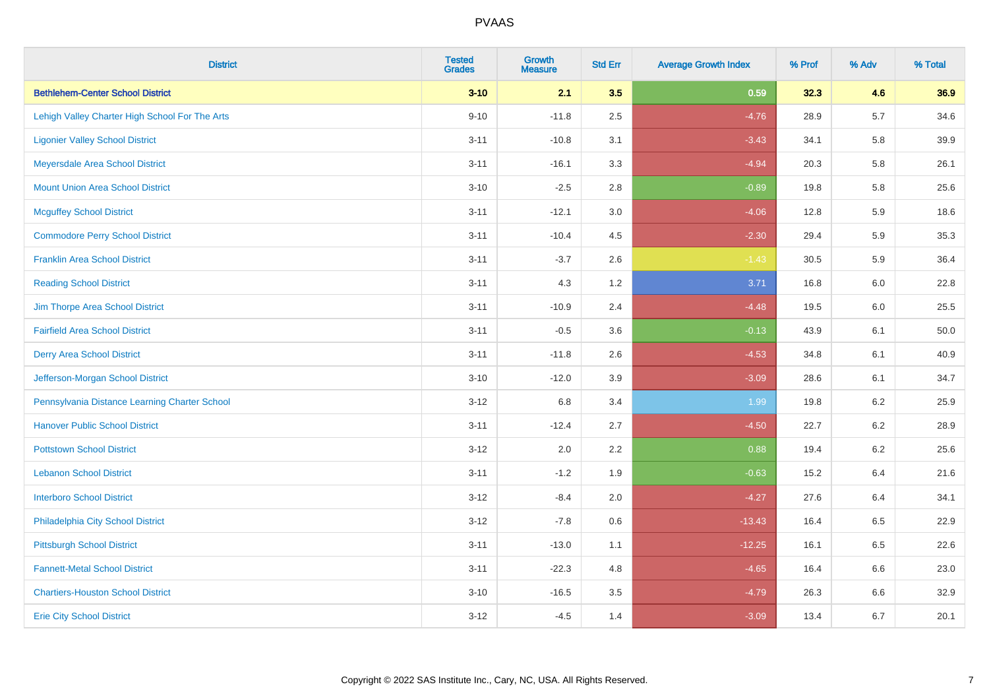| <b>District</b>                                | <b>Tested</b><br><b>Grades</b> | <b>Growth</b><br><b>Measure</b> | <b>Std Err</b> | <b>Average Growth Index</b> | % Prof | % Adv   | % Total |
|------------------------------------------------|--------------------------------|---------------------------------|----------------|-----------------------------|--------|---------|---------|
| <b>Bethlehem-Center School District</b>        | $3 - 10$                       | 2.1                             | 3.5            | 0.59                        | 32.3   | 4.6     | 36.9    |
| Lehigh Valley Charter High School For The Arts | $9 - 10$                       | $-11.8$                         | 2.5            | $-4.76$                     | 28.9   | $5.7\,$ | 34.6    |
| <b>Ligonier Valley School District</b>         | $3 - 11$                       | $-10.8$                         | 3.1            | $-3.43$                     | 34.1   | 5.8     | 39.9    |
| Meyersdale Area School District                | $3 - 11$                       | $-16.1$                         | 3.3            | $-4.94$                     | 20.3   | 5.8     | 26.1    |
| <b>Mount Union Area School District</b>        | $3 - 10$                       | $-2.5$                          | 2.8            | $-0.89$                     | 19.8   | 5.8     | 25.6    |
| <b>Mcguffey School District</b>                | $3 - 11$                       | $-12.1$                         | 3.0            | $-4.06$                     | 12.8   | 5.9     | 18.6    |
| <b>Commodore Perry School District</b>         | $3 - 11$                       | $-10.4$                         | 4.5            | $-2.30$                     | 29.4   | 5.9     | 35.3    |
| <b>Franklin Area School District</b>           | $3 - 11$                       | $-3.7$                          | 2.6            | $-1.43$                     | 30.5   | 5.9     | 36.4    |
| <b>Reading School District</b>                 | $3 - 11$                       | 4.3                             | 1.2            | 3.71                        | 16.8   | 6.0     | 22.8    |
| Jim Thorpe Area School District                | $3 - 11$                       | $-10.9$                         | 2.4            | $-4.48$                     | 19.5   | 6.0     | 25.5    |
| <b>Fairfield Area School District</b>          | $3 - 11$                       | $-0.5$                          | 3.6            | $-0.13$                     | 43.9   | 6.1     | 50.0    |
| <b>Derry Area School District</b>              | $3 - 11$                       | $-11.8$                         | 2.6            | $-4.53$                     | 34.8   | 6.1     | 40.9    |
| Jefferson-Morgan School District               | $3 - 10$                       | $-12.0$                         | 3.9            | $-3.09$                     | 28.6   | 6.1     | 34.7    |
| Pennsylvania Distance Learning Charter School  | $3 - 12$                       | 6.8                             | 3.4            | 1.99                        | 19.8   | 6.2     | 25.9    |
| <b>Hanover Public School District</b>          | $3 - 11$                       | $-12.4$                         | 2.7            | $-4.50$                     | 22.7   | 6.2     | 28.9    |
| <b>Pottstown School District</b>               | $3 - 12$                       | 2.0                             | 2.2            | 0.88                        | 19.4   | $6.2\,$ | 25.6    |
| <b>Lebanon School District</b>                 | $3 - 11$                       | $-1.2$                          | 1.9            | $-0.63$                     | 15.2   | 6.4     | 21.6    |
| <b>Interboro School District</b>               | $3 - 12$                       | $-8.4$                          | 2.0            | $-4.27$                     | 27.6   | 6.4     | 34.1    |
| Philadelphia City School District              | $3 - 12$                       | $-7.8$                          | 0.6            | $-13.43$                    | 16.4   | 6.5     | 22.9    |
| <b>Pittsburgh School District</b>              | $3 - 11$                       | $-13.0$                         | 1.1            | $-12.25$                    | 16.1   | 6.5     | 22.6    |
| <b>Fannett-Metal School District</b>           | $3 - 11$                       | $-22.3$                         | 4.8            | $-4.65$                     | 16.4   | 6.6     | 23.0    |
| <b>Chartiers-Houston School District</b>       | $3 - 10$                       | $-16.5$                         | 3.5            | $-4.79$                     | 26.3   | 6.6     | 32.9    |
| <b>Erie City School District</b>               | $3 - 12$                       | $-4.5$                          | 1.4            | $-3.09$                     | 13.4   | 6.7     | 20.1    |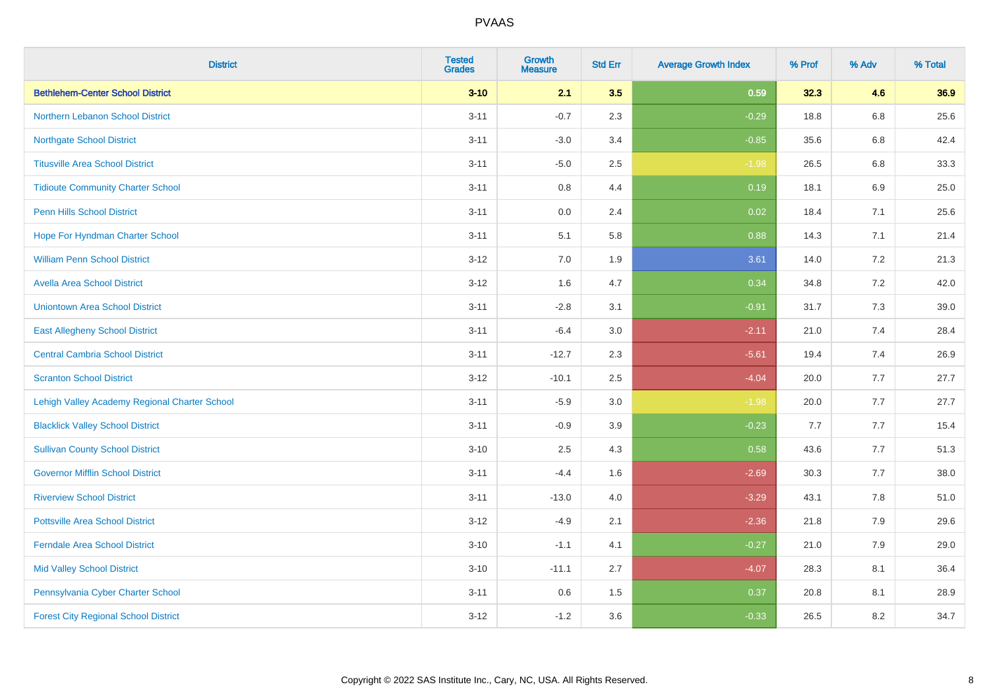| <b>District</b>                               | <b>Tested</b><br><b>Grades</b> | <b>Growth</b><br><b>Measure</b> | <b>Std Err</b> | <b>Average Growth Index</b> | % Prof | % Adv | % Total |
|-----------------------------------------------|--------------------------------|---------------------------------|----------------|-----------------------------|--------|-------|---------|
| <b>Bethlehem-Center School District</b>       | $3 - 10$                       | 2.1                             | 3.5            | 0.59                        | 32.3   | 4.6   | 36.9    |
| <b>Northern Lebanon School District</b>       | $3 - 11$                       | $-0.7$                          | 2.3            | $-0.29$                     | 18.8   | 6.8   | 25.6    |
| <b>Northgate School District</b>              | $3 - 11$                       | $-3.0$                          | 3.4            | $-0.85$                     | 35.6   | 6.8   | 42.4    |
| <b>Titusville Area School District</b>        | $3 - 11$                       | $-5.0$                          | 2.5            | $-1.98$                     | 26.5   | 6.8   | 33.3    |
| <b>Tidioute Community Charter School</b>      | $3 - 11$                       | 0.8                             | 4.4            | 0.19                        | 18.1   | 6.9   | 25.0    |
| <b>Penn Hills School District</b>             | $3 - 11$                       | 0.0                             | 2.4            | 0.02                        | 18.4   | 7.1   | 25.6    |
| Hope For Hyndman Charter School               | $3 - 11$                       | 5.1                             | 5.8            | 0.88                        | 14.3   | 7.1   | 21.4    |
| <b>William Penn School District</b>           | $3 - 12$                       | 7.0                             | 1.9            | 3.61                        | 14.0   | 7.2   | 21.3    |
| <b>Avella Area School District</b>            | $3 - 12$                       | 1.6                             | 4.7            | 0.34                        | 34.8   | 7.2   | 42.0    |
| <b>Uniontown Area School District</b>         | $3 - 11$                       | $-2.8$                          | 3.1            | $-0.91$                     | 31.7   | 7.3   | 39.0    |
| <b>East Allegheny School District</b>         | $3 - 11$                       | $-6.4$                          | 3.0            | $-2.11$                     | 21.0   | 7.4   | 28.4    |
| <b>Central Cambria School District</b>        | $3 - 11$                       | $-12.7$                         | 2.3            | $-5.61$                     | 19.4   | 7.4   | 26.9    |
| <b>Scranton School District</b>               | $3 - 12$                       | $-10.1$                         | 2.5            | $-4.04$                     | 20.0   | 7.7   | 27.7    |
| Lehigh Valley Academy Regional Charter School | $3 - 11$                       | $-5.9$                          | 3.0            | $-1.98$                     | 20.0   | 7.7   | 27.7    |
| <b>Blacklick Valley School District</b>       | $3 - 11$                       | $-0.9$                          | 3.9            | $-0.23$                     | 7.7    | 7.7   | 15.4    |
| <b>Sullivan County School District</b>        | $3 - 10$                       | 2.5                             | 4.3            | 0.58                        | 43.6   | 7.7   | 51.3    |
| <b>Governor Mifflin School District</b>       | $3 - 11$                       | $-4.4$                          | 1.6            | $-2.69$                     | 30.3   | 7.7   | 38.0    |
| <b>Riverview School District</b>              | $3 - 11$                       | $-13.0$                         | 4.0            | $-3.29$                     | 43.1   | 7.8   | 51.0    |
| <b>Pottsville Area School District</b>        | $3 - 12$                       | $-4.9$                          | 2.1            | $-2.36$                     | 21.8   | 7.9   | 29.6    |
| <b>Ferndale Area School District</b>          | $3 - 10$                       | $-1.1$                          | 4.1            | $-0.27$                     | 21.0   | 7.9   | 29.0    |
| <b>Mid Valley School District</b>             | $3 - 10$                       | $-11.1$                         | 2.7            | $-4.07$                     | 28.3   | 8.1   | 36.4    |
| Pennsylvania Cyber Charter School             | $3 - 11$                       | 0.6                             | 1.5            | 0.37                        | 20.8   | 8.1   | 28.9    |
| <b>Forest City Regional School District</b>   | $3 - 12$                       | $-1.2$                          | 3.6            | $-0.33$                     | 26.5   | 8.2   | 34.7    |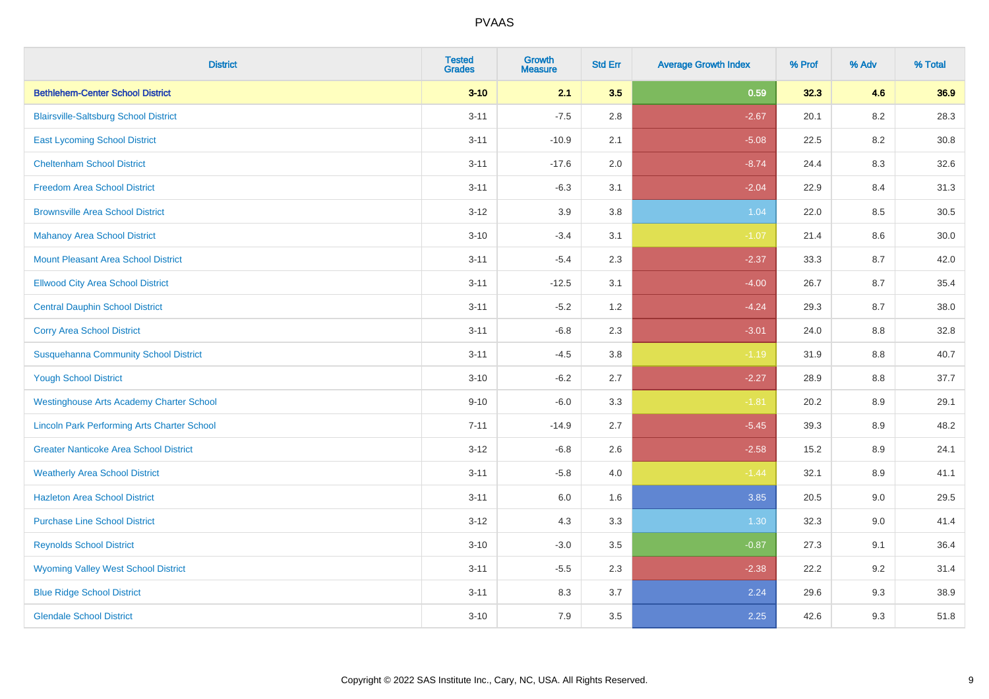| <b>District</b>                                    | <b>Tested</b><br><b>Grades</b> | <b>Growth</b><br><b>Measure</b> | <b>Std Err</b> | <b>Average Growth Index</b> | % Prof | % Adv   | % Total |
|----------------------------------------------------|--------------------------------|---------------------------------|----------------|-----------------------------|--------|---------|---------|
| <b>Bethlehem-Center School District</b>            | $3 - 10$                       | 2.1                             | 3.5            | 0.59                        | 32.3   | 4.6     | 36.9    |
| <b>Blairsville-Saltsburg School District</b>       | $3 - 11$                       | $-7.5$                          | 2.8            | $-2.67$                     | 20.1   | $8.2\,$ | 28.3    |
| <b>East Lycoming School District</b>               | $3 - 11$                       | $-10.9$                         | 2.1            | $-5.08$                     | 22.5   | 8.2     | 30.8    |
| <b>Cheltenham School District</b>                  | $3 - 11$                       | $-17.6$                         | 2.0            | $-8.74$                     | 24.4   | 8.3     | 32.6    |
| <b>Freedom Area School District</b>                | $3 - 11$                       | $-6.3$                          | 3.1            | $-2.04$                     | 22.9   | 8.4     | 31.3    |
| <b>Brownsville Area School District</b>            | $3 - 12$                       | 3.9                             | 3.8            | 1.04                        | 22.0   | 8.5     | 30.5    |
| <b>Mahanoy Area School District</b>                | $3 - 10$                       | $-3.4$                          | 3.1            | $-1.07$                     | 21.4   | 8.6     | 30.0    |
| <b>Mount Pleasant Area School District</b>         | $3 - 11$                       | $-5.4$                          | 2.3            | $-2.37$                     | 33.3   | 8.7     | 42.0    |
| <b>Ellwood City Area School District</b>           | $3 - 11$                       | $-12.5$                         | 3.1            | $-4.00$                     | 26.7   | 8.7     | 35.4    |
| <b>Central Dauphin School District</b>             | $3 - 11$                       | $-5.2$                          | 1.2            | $-4.24$                     | 29.3   | 8.7     | 38.0    |
| <b>Corry Area School District</b>                  | $3 - 11$                       | $-6.8$                          | 2.3            | $-3.01$                     | 24.0   | 8.8     | 32.8    |
| <b>Susquehanna Community School District</b>       | $3 - 11$                       | $-4.5$                          | 3.8            | $-1.19$                     | 31.9   | 8.8     | 40.7    |
| <b>Yough School District</b>                       | $3 - 10$                       | $-6.2$                          | 2.7            | $-2.27$                     | 28.9   | $8.8\,$ | 37.7    |
| <b>Westinghouse Arts Academy Charter School</b>    | $9 - 10$                       | $-6.0$                          | 3.3            | $-1.81$                     | 20.2   | 8.9     | 29.1    |
| <b>Lincoln Park Performing Arts Charter School</b> | $7 - 11$                       | $-14.9$                         | 2.7            | $-5.45$                     | 39.3   | 8.9     | 48.2    |
| <b>Greater Nanticoke Area School District</b>      | $3 - 12$                       | $-6.8$                          | 2.6            | $-2.58$                     | 15.2   | $8.9\,$ | 24.1    |
| <b>Weatherly Area School District</b>              | $3 - 11$                       | $-5.8$                          | 4.0            | $-1.44$                     | 32.1   | 8.9     | 41.1    |
| <b>Hazleton Area School District</b>               | $3 - 11$                       | 6.0                             | 1.6            | 3.85                        | 20.5   | 9.0     | 29.5    |
| <b>Purchase Line School District</b>               | $3 - 12$                       | 4.3                             | 3.3            | 1.30                        | 32.3   | 9.0     | 41.4    |
| <b>Reynolds School District</b>                    | $3 - 10$                       | $-3.0$                          | 3.5            | $-0.87$                     | 27.3   | 9.1     | 36.4    |
| <b>Wyoming Valley West School District</b>         | $3 - 11$                       | $-5.5$                          | 2.3            | $-2.38$                     | 22.2   | 9.2     | 31.4    |
| <b>Blue Ridge School District</b>                  | $3 - 11$                       | 8.3                             | 3.7            | 2.24                        | 29.6   | 9.3     | 38.9    |
| <b>Glendale School District</b>                    | $3 - 10$                       | 7.9                             | 3.5            | 2.25                        | 42.6   | 9.3     | 51.8    |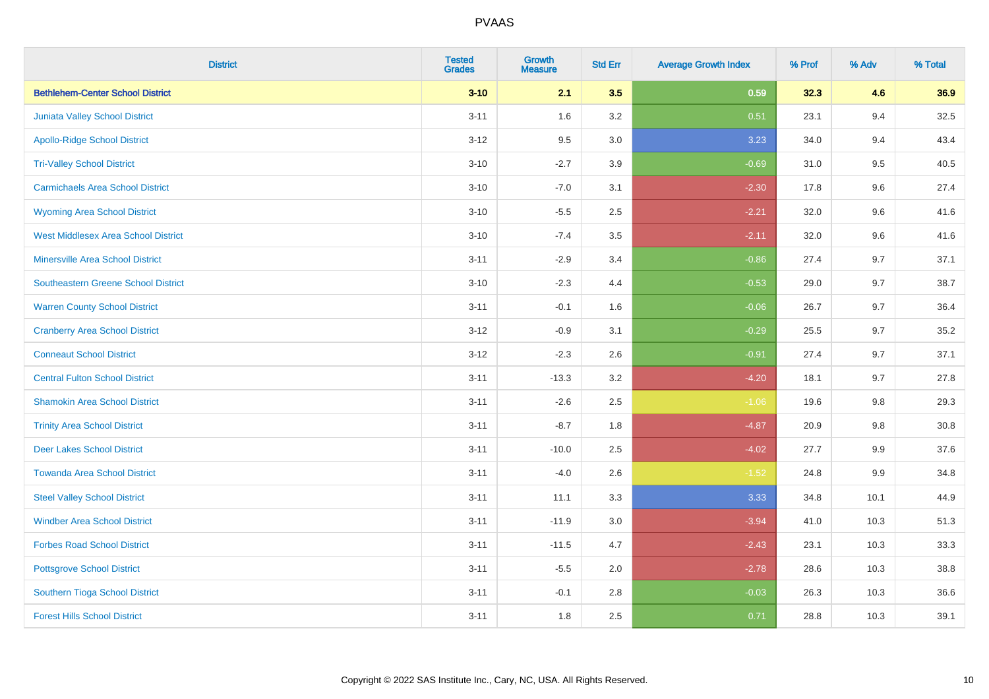| <b>District</b>                            | <b>Tested</b><br><b>Grades</b> | <b>Growth</b><br><b>Measure</b> | <b>Std Err</b> | <b>Average Growth Index</b> | % Prof | % Adv   | % Total  |
|--------------------------------------------|--------------------------------|---------------------------------|----------------|-----------------------------|--------|---------|----------|
| <b>Bethlehem-Center School District</b>    | $3 - 10$                       | 2.1                             | 3.5            | 0.59                        | 32.3   | 4.6     | 36.9     |
| Juniata Valley School District             | $3 - 11$                       | 1.6                             | 3.2            | 0.51                        | 23.1   | 9.4     | 32.5     |
| <b>Apollo-Ridge School District</b>        | $3 - 12$                       | 9.5                             | 3.0            | 3.23                        | 34.0   | 9.4     | 43.4     |
| <b>Tri-Valley School District</b>          | $3 - 10$                       | $-2.7$                          | 3.9            | $-0.69$                     | 31.0   | 9.5     | 40.5     |
| <b>Carmichaels Area School District</b>    | $3 - 10$                       | $-7.0$                          | 3.1            | $-2.30$                     | 17.8   | 9.6     | 27.4     |
| <b>Wyoming Area School District</b>        | $3 - 10$                       | $-5.5$                          | 2.5            | $-2.21$                     | 32.0   | 9.6     | 41.6     |
| <b>West Middlesex Area School District</b> | $3 - 10$                       | $-7.4$                          | 3.5            | $-2.11$                     | 32.0   | 9.6     | 41.6     |
| <b>Minersville Area School District</b>    | $3 - 11$                       | $-2.9$                          | 3.4            | $-0.86$                     | 27.4   | 9.7     | 37.1     |
| Southeastern Greene School District        | $3 - 10$                       | $-2.3$                          | 4.4            | $-0.53$                     | 29.0   | 9.7     | 38.7     |
| <b>Warren County School District</b>       | $3 - 11$                       | $-0.1$                          | 1.6            | $-0.06$                     | 26.7   | 9.7     | 36.4     |
| <b>Cranberry Area School District</b>      | $3 - 12$                       | $-0.9$                          | 3.1            | $-0.29$                     | 25.5   | 9.7     | 35.2     |
| <b>Conneaut School District</b>            | $3 - 12$                       | $-2.3$                          | 2.6            | $-0.91$                     | 27.4   | 9.7     | 37.1     |
| <b>Central Fulton School District</b>      | $3 - 11$                       | $-13.3$                         | 3.2            | $-4.20$                     | 18.1   | 9.7     | 27.8     |
| <b>Shamokin Area School District</b>       | $3 - 11$                       | $-2.6$                          | 2.5            | $-1.06$                     | 19.6   | 9.8     | 29.3     |
| <b>Trinity Area School District</b>        | $3 - 11$                       | $-8.7$                          | 1.8            | $-4.87$                     | 20.9   | 9.8     | $30.8\,$ |
| <b>Deer Lakes School District</b>          | $3 - 11$                       | $-10.0$                         | 2.5            | $-4.02$                     | 27.7   | 9.9     | 37.6     |
| <b>Towanda Area School District</b>        | $3 - 11$                       | $-4.0$                          | 2.6            | $-1.52$                     | 24.8   | $9.9\,$ | 34.8     |
| <b>Steel Valley School District</b>        | $3 - 11$                       | 11.1                            | 3.3            | 3.33                        | 34.8   | 10.1    | 44.9     |
| <b>Windber Area School District</b>        | $3 - 11$                       | $-11.9$                         | $3.0\,$        | $-3.94$                     | 41.0   | 10.3    | 51.3     |
| <b>Forbes Road School District</b>         | $3 - 11$                       | $-11.5$                         | 4.7            | $-2.43$                     | 23.1   | 10.3    | 33.3     |
| <b>Pottsgrove School District</b>          | $3 - 11$                       | $-5.5$                          | 2.0            | $-2.78$                     | 28.6   | 10.3    | 38.8     |
| Southern Tioga School District             | $3 - 11$                       | $-0.1$                          | 2.8            | $-0.03$                     | 26.3   | 10.3    | 36.6     |
| <b>Forest Hills School District</b>        | $3 - 11$                       | 1.8                             | 2.5            | 0.71                        | 28.8   | 10.3    | 39.1     |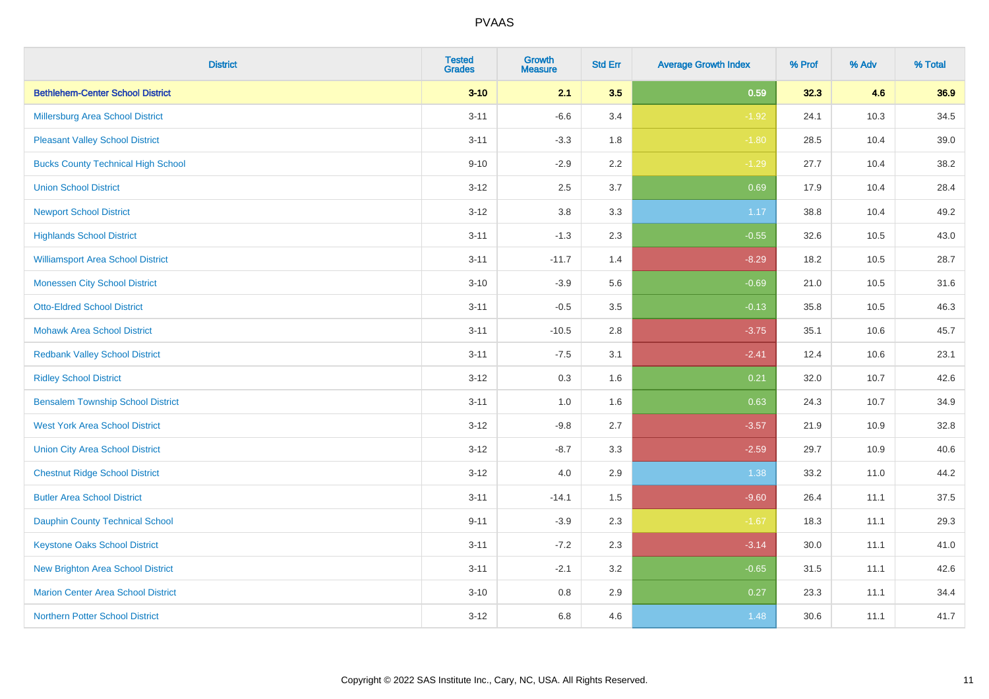| <b>District</b>                           | <b>Tested</b><br><b>Grades</b> | <b>Growth</b><br><b>Measure</b> | <b>Std Err</b> | <b>Average Growth Index</b> | % Prof | % Adv | % Total |
|-------------------------------------------|--------------------------------|---------------------------------|----------------|-----------------------------|--------|-------|---------|
| <b>Bethlehem-Center School District</b>   | $3 - 10$                       | 2.1                             | 3.5            | 0.59                        | 32.3   | 4.6   | 36.9    |
| <b>Millersburg Area School District</b>   | $3 - 11$                       | $-6.6$                          | 3.4            | $-1.92$                     | 24.1   | 10.3  | 34.5    |
| <b>Pleasant Valley School District</b>    | $3 - 11$                       | $-3.3$                          | 1.8            | $-1.80$                     | 28.5   | 10.4  | 39.0    |
| <b>Bucks County Technical High School</b> | $9 - 10$                       | $-2.9$                          | 2.2            | $-1.29$                     | 27.7   | 10.4  | 38.2    |
| <b>Union School District</b>              | $3 - 12$                       | 2.5                             | 3.7            | 0.69                        | 17.9   | 10.4  | 28.4    |
| <b>Newport School District</b>            | $3 - 12$                       | $3.8\,$                         | 3.3            | 1.17                        | 38.8   | 10.4  | 49.2    |
| <b>Highlands School District</b>          | $3 - 11$                       | $-1.3$                          | 2.3            | $-0.55$                     | 32.6   | 10.5  | 43.0    |
| <b>Williamsport Area School District</b>  | $3 - 11$                       | $-11.7$                         | 1.4            | $-8.29$                     | 18.2   | 10.5  | 28.7    |
| <b>Monessen City School District</b>      | $3 - 10$                       | $-3.9$                          | 5.6            | $-0.69$                     | 21.0   | 10.5  | 31.6    |
| <b>Otto-Eldred School District</b>        | $3 - 11$                       | $-0.5$                          | 3.5            | $-0.13$                     | 35.8   | 10.5  | 46.3    |
| <b>Mohawk Area School District</b>        | $3 - 11$                       | $-10.5$                         | 2.8            | $-3.75$                     | 35.1   | 10.6  | 45.7    |
| <b>Redbank Valley School District</b>     | $3 - 11$                       | $-7.5$                          | 3.1            | $-2.41$                     | 12.4   | 10.6  | 23.1    |
| <b>Ridley School District</b>             | $3 - 12$                       | 0.3                             | 1.6            | 0.21                        | 32.0   | 10.7  | 42.6    |
| <b>Bensalem Township School District</b>  | $3 - 11$                       | $1.0\,$                         | 1.6            | 0.63                        | 24.3   | 10.7  | 34.9    |
| <b>West York Area School District</b>     | $3-12$                         | $-9.8$                          | 2.7            | $-3.57$                     | 21.9   | 10.9  | 32.8    |
| <b>Union City Area School District</b>    | $3 - 12$                       | $-8.7$                          | 3.3            | $-2.59$                     | 29.7   | 10.9  | 40.6    |
| <b>Chestnut Ridge School District</b>     | $3 - 12$                       | 4.0                             | 2.9            | 1.38                        | 33.2   | 11.0  | 44.2    |
| <b>Butler Area School District</b>        | $3 - 11$                       | $-14.1$                         | 1.5            | $-9.60$                     | 26.4   | 11.1  | 37.5    |
| <b>Dauphin County Technical School</b>    | $9 - 11$                       | $-3.9$                          | 2.3            | $-1.67$                     | 18.3   | 11.1  | 29.3    |
| <b>Keystone Oaks School District</b>      | $3 - 11$                       | $-7.2$                          | 2.3            | $-3.14$                     | 30.0   | 11.1  | 41.0    |
| <b>New Brighton Area School District</b>  | $3 - 11$                       | $-2.1$                          | 3.2            | $-0.65$                     | 31.5   | 11.1  | 42.6    |
| <b>Marion Center Area School District</b> | $3 - 10$                       | $0.8\,$                         | 2.9            | 0.27                        | 23.3   | 11.1  | 34.4    |
| <b>Northern Potter School District</b>    | $3-12$                         | 6.8                             | 4.6            | 1.48                        | 30.6   | 11.1  | 41.7    |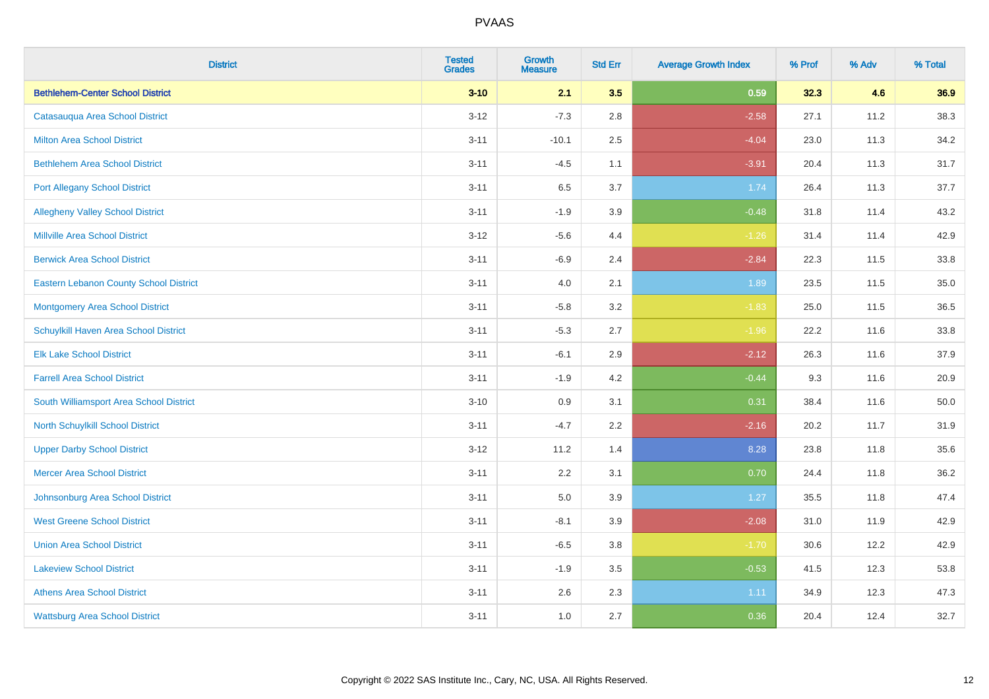| <b>District</b>                               | <b>Tested</b><br><b>Grades</b> | <b>Growth</b><br><b>Measure</b> | <b>Std Err</b> | <b>Average Growth Index</b> | % Prof | % Adv | % Total |
|-----------------------------------------------|--------------------------------|---------------------------------|----------------|-----------------------------|--------|-------|---------|
| <b>Bethlehem-Center School District</b>       | $3 - 10$                       | 2.1                             | 3.5            | 0.59                        | 32.3   | 4.6   | 36.9    |
| Catasauqua Area School District               | $3 - 12$                       | $-7.3$                          | 2.8            | $-2.58$                     | 27.1   | 11.2  | 38.3    |
| <b>Milton Area School District</b>            | $3 - 11$                       | $-10.1$                         | 2.5            | $-4.04$                     | 23.0   | 11.3  | 34.2    |
| <b>Bethlehem Area School District</b>         | $3 - 11$                       | $-4.5$                          | 1.1            | $-3.91$                     | 20.4   | 11.3  | 31.7    |
| <b>Port Allegany School District</b>          | $3 - 11$                       | 6.5                             | 3.7            | 1.74                        | 26.4   | 11.3  | 37.7    |
| <b>Allegheny Valley School District</b>       | $3 - 11$                       | $-1.9$                          | 3.9            | $-0.48$                     | 31.8   | 11.4  | 43.2    |
| <b>Millville Area School District</b>         | $3 - 12$                       | $-5.6$                          | 4.4            | $-1.26$                     | 31.4   | 11.4  | 42.9    |
| <b>Berwick Area School District</b>           | $3 - 11$                       | $-6.9$                          | 2.4            | $-2.84$                     | 22.3   | 11.5  | 33.8    |
| <b>Eastern Lebanon County School District</b> | $3 - 11$                       | 4.0                             | 2.1            | 1.89                        | 23.5   | 11.5  | 35.0    |
| <b>Montgomery Area School District</b>        | $3 - 11$                       | $-5.8$                          | 3.2            | $-1.83$                     | 25.0   | 11.5  | 36.5    |
| Schuylkill Haven Area School District         | $3 - 11$                       | $-5.3$                          | 2.7            | $-1.96$                     | 22.2   | 11.6  | 33.8    |
| <b>Elk Lake School District</b>               | $3 - 11$                       | $-6.1$                          | 2.9            | $-2.12$                     | 26.3   | 11.6  | 37.9    |
| <b>Farrell Area School District</b>           | $3 - 11$                       | $-1.9$                          | 4.2            | $-0.44$                     | 9.3    | 11.6  | 20.9    |
| South Williamsport Area School District       | $3 - 10$                       | 0.9                             | 3.1            | 0.31                        | 38.4   | 11.6  | 50.0    |
| <b>North Schuylkill School District</b>       | $3 - 11$                       | $-4.7$                          | 2.2            | $-2.16$                     | 20.2   | 11.7  | 31.9    |
| <b>Upper Darby School District</b>            | $3 - 12$                       | 11.2                            | 1.4            | 8.28                        | 23.8   | 11.8  | 35.6    |
| <b>Mercer Area School District</b>            | $3 - 11$                       | $2.2\,$                         | 3.1            | 0.70                        | 24.4   | 11.8  | 36.2    |
| Johnsonburg Area School District              | $3 - 11$                       | 5.0                             | 3.9            | 1.27                        | 35.5   | 11.8  | 47.4    |
| <b>West Greene School District</b>            | $3 - 11$                       | $-8.1$                          | 3.9            | $-2.08$                     | 31.0   | 11.9  | 42.9    |
| <b>Union Area School District</b>             | $3 - 11$                       | $-6.5$                          | 3.8            | $-1.70$                     | 30.6   | 12.2  | 42.9    |
| <b>Lakeview School District</b>               | $3 - 11$                       | $-1.9$                          | 3.5            | $-0.53$                     | 41.5   | 12.3  | 53.8    |
| <b>Athens Area School District</b>            | $3 - 11$                       | 2.6                             | 2.3            | 1.11                        | 34.9   | 12.3  | 47.3    |
| <b>Wattsburg Area School District</b>         | $3 - 11$                       | 1.0                             | 2.7            | 0.36                        | 20.4   | 12.4  | 32.7    |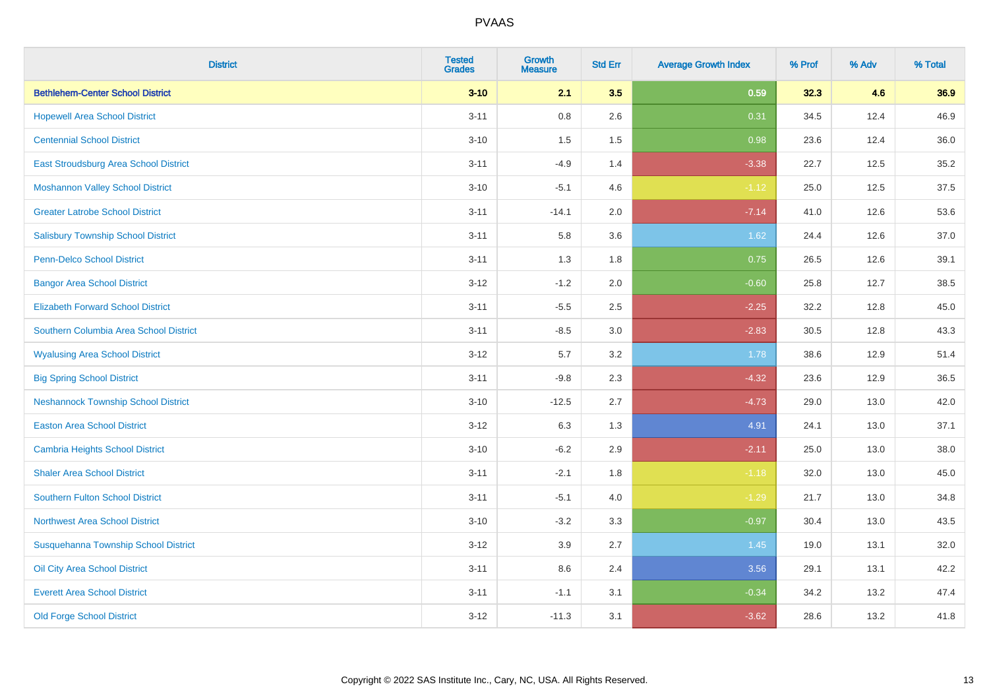| <b>District</b>                            | <b>Tested</b><br><b>Grades</b> | <b>Growth</b><br><b>Measure</b> | <b>Std Err</b> | <b>Average Growth Index</b> | % Prof | % Adv | % Total |
|--------------------------------------------|--------------------------------|---------------------------------|----------------|-----------------------------|--------|-------|---------|
| <b>Bethlehem-Center School District</b>    | $3 - 10$                       | 2.1                             | 3.5            | 0.59                        | 32.3   | 4.6   | 36.9    |
| <b>Hopewell Area School District</b>       | $3 - 11$                       | $0.8\,$                         | 2.6            | 0.31                        | 34.5   | 12.4  | 46.9    |
| <b>Centennial School District</b>          | $3 - 10$                       | 1.5                             | 1.5            | 0.98                        | 23.6   | 12.4  | 36.0    |
| East Stroudsburg Area School District      | $3 - 11$                       | $-4.9$                          | 1.4            | $-3.38$                     | 22.7   | 12.5  | 35.2    |
| <b>Moshannon Valley School District</b>    | $3 - 10$                       | $-5.1$                          | 4.6            | $-1.12$                     | 25.0   | 12.5  | 37.5    |
| <b>Greater Latrobe School District</b>     | $3 - 11$                       | $-14.1$                         | 2.0            | $-7.14$                     | 41.0   | 12.6  | 53.6    |
| <b>Salisbury Township School District</b>  | $3 - 11$                       | 5.8                             | 3.6            | 1.62                        | 24.4   | 12.6  | 37.0    |
| <b>Penn-Delco School District</b>          | $3 - 11$                       | 1.3                             | 1.8            | 0.75                        | 26.5   | 12.6  | 39.1    |
| <b>Bangor Area School District</b>         | $3 - 12$                       | $-1.2$                          | 2.0            | $-0.60$                     | 25.8   | 12.7  | 38.5    |
| <b>Elizabeth Forward School District</b>   | $3 - 11$                       | $-5.5$                          | 2.5            | $-2.25$                     | 32.2   | 12.8  | 45.0    |
| Southern Columbia Area School District     | $3 - 11$                       | $-8.5$                          | 3.0            | $-2.83$                     | 30.5   | 12.8  | 43.3    |
| <b>Wyalusing Area School District</b>      | $3 - 12$                       | 5.7                             | 3.2            | 1.78                        | 38.6   | 12.9  | 51.4    |
| <b>Big Spring School District</b>          | $3 - 11$                       | $-9.8$                          | 2.3            | $-4.32$                     | 23.6   | 12.9  | 36.5    |
| <b>Neshannock Township School District</b> | $3 - 10$                       | $-12.5$                         | 2.7            | $-4.73$                     | 29.0   | 13.0  | 42.0    |
| <b>Easton Area School District</b>         | $3-12$                         | 6.3                             | 1.3            | 4.91                        | 24.1   | 13.0  | 37.1    |
| <b>Cambria Heights School District</b>     | $3 - 10$                       | $-6.2$                          | 2.9            | $-2.11$                     | 25.0   | 13.0  | 38.0    |
| <b>Shaler Area School District</b>         | $3 - 11$                       | $-2.1$                          | 1.8            | $-1.18$                     | 32.0   | 13.0  | 45.0    |
| <b>Southern Fulton School District</b>     | $3 - 11$                       | $-5.1$                          | 4.0            | $-1.29$                     | 21.7   | 13.0  | 34.8    |
| <b>Northwest Area School District</b>      | $3 - 10$                       | $-3.2$                          | 3.3            | $-0.97$                     | 30.4   | 13.0  | 43.5    |
| Susquehanna Township School District       | $3 - 12$                       | 3.9                             | 2.7            | $1.45$                      | 19.0   | 13.1  | 32.0    |
| Oil City Area School District              | $3 - 11$                       | 8.6                             | 2.4            | 3.56                        | 29.1   | 13.1  | 42.2    |
| <b>Everett Area School District</b>        | $3 - 11$                       | $-1.1$                          | 3.1            | $-0.34$                     | 34.2   | 13.2  | 47.4    |
| <b>Old Forge School District</b>           | $3-12$                         | $-11.3$                         | 3.1            | $-3.62$                     | 28.6   | 13.2  | 41.8    |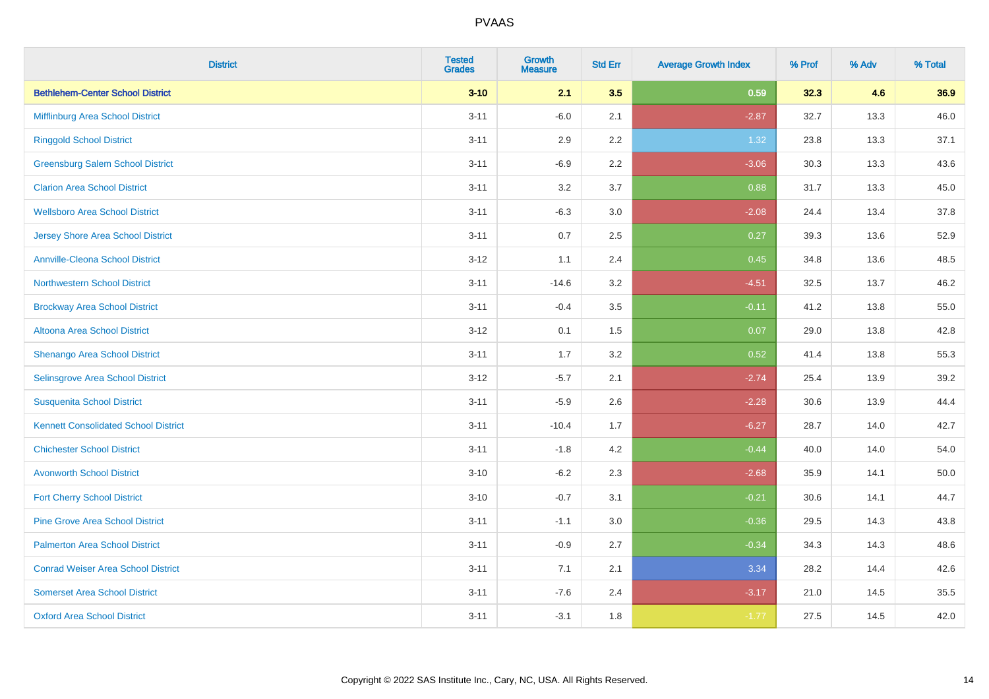| <b>District</b>                             | <b>Tested</b><br><b>Grades</b> | <b>Growth</b><br><b>Measure</b> | <b>Std Err</b> | <b>Average Growth Index</b> | % Prof | % Adv | % Total |
|---------------------------------------------|--------------------------------|---------------------------------|----------------|-----------------------------|--------|-------|---------|
| <b>Bethlehem-Center School District</b>     | $3 - 10$                       | 2.1                             | 3.5            | 0.59                        | 32.3   | 4.6   | 36.9    |
| Mifflinburg Area School District            | $3 - 11$                       | $-6.0$                          | 2.1            | $-2.87$                     | 32.7   | 13.3  | 46.0    |
| <b>Ringgold School District</b>             | $3 - 11$                       | 2.9                             | 2.2            | 1.32                        | 23.8   | 13.3  | 37.1    |
| <b>Greensburg Salem School District</b>     | $3 - 11$                       | $-6.9$                          | 2.2            | $-3.06$                     | 30.3   | 13.3  | 43.6    |
| <b>Clarion Area School District</b>         | $3 - 11$                       | 3.2                             | 3.7            | 0.88                        | 31.7   | 13.3  | 45.0    |
| <b>Wellsboro Area School District</b>       | $3 - 11$                       | $-6.3$                          | 3.0            | $-2.08$                     | 24.4   | 13.4  | 37.8    |
| <b>Jersey Shore Area School District</b>    | $3 - 11$                       | 0.7                             | 2.5            | 0.27                        | 39.3   | 13.6  | 52.9    |
| <b>Annville-Cleona School District</b>      | $3 - 12$                       | 1.1                             | 2.4            | 0.45                        | 34.8   | 13.6  | 48.5    |
| <b>Northwestern School District</b>         | $3 - 11$                       | $-14.6$                         | 3.2            | $-4.51$                     | 32.5   | 13.7  | 46.2    |
| <b>Brockway Area School District</b>        | $3 - 11$                       | $-0.4$                          | 3.5            | $-0.11$                     | 41.2   | 13.8  | 55.0    |
| Altoona Area School District                | $3 - 12$                       | 0.1                             | 1.5            | 0.07                        | 29.0   | 13.8  | 42.8    |
| Shenango Area School District               | $3 - 11$                       | 1.7                             | 3.2            | 0.52                        | 41.4   | 13.8  | 55.3    |
| Selinsgrove Area School District            | $3 - 12$                       | $-5.7$                          | 2.1            | $-2.74$                     | 25.4   | 13.9  | 39.2    |
| <b>Susquenita School District</b>           | $3 - 11$                       | $-5.9$                          | 2.6            | $-2.28$                     | 30.6   | 13.9  | 44.4    |
| <b>Kennett Consolidated School District</b> | $3 - 11$                       | $-10.4$                         | 1.7            | $-6.27$                     | 28.7   | 14.0  | 42.7    |
| <b>Chichester School District</b>           | $3 - 11$                       | $-1.8$                          | 4.2            | $-0.44$                     | 40.0   | 14.0  | 54.0    |
| <b>Avonworth School District</b>            | $3 - 10$                       | $-6.2$                          | 2.3            | $-2.68$                     | 35.9   | 14.1  | 50.0    |
| <b>Fort Cherry School District</b>          | $3 - 10$                       | $-0.7$                          | 3.1            | $-0.21$                     | 30.6   | 14.1  | 44.7    |
| <b>Pine Grove Area School District</b>      | $3 - 11$                       | $-1.1$                          | 3.0            | $-0.36$                     | 29.5   | 14.3  | 43.8    |
| <b>Palmerton Area School District</b>       | $3 - 11$                       | $-0.9$                          | 2.7            | $-0.34$                     | 34.3   | 14.3  | 48.6    |
| <b>Conrad Weiser Area School District</b>   | $3 - 11$                       | 7.1                             | 2.1            | 3.34                        | 28.2   | 14.4  | 42.6    |
| <b>Somerset Area School District</b>        | $3 - 11$                       | $-7.6$                          | 2.4            | $-3.17$                     | 21.0   | 14.5  | 35.5    |
| <b>Oxford Area School District</b>          | $3 - 11$                       | $-3.1$                          | 1.8            | $-1.77$                     | 27.5   | 14.5  | 42.0    |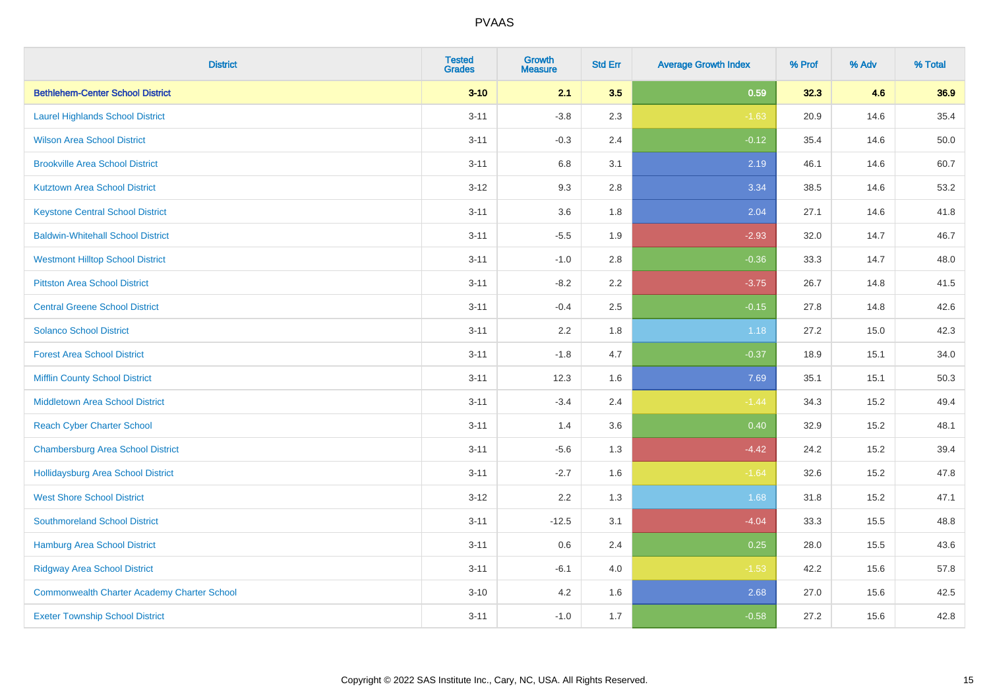| <b>District</b>                                    | <b>Tested</b><br><b>Grades</b> | <b>Growth</b><br><b>Measure</b> | <b>Std Err</b> | <b>Average Growth Index</b> | % Prof | % Adv | % Total |
|----------------------------------------------------|--------------------------------|---------------------------------|----------------|-----------------------------|--------|-------|---------|
| <b>Bethlehem-Center School District</b>            | $3 - 10$                       | 2.1                             | 3.5            | 0.59                        | 32.3   | 4.6   | 36.9    |
| <b>Laurel Highlands School District</b>            | $3 - 11$                       | $-3.8$                          | 2.3            | $-1.63$                     | 20.9   | 14.6  | 35.4    |
| <b>Wilson Area School District</b>                 | $3 - 11$                       | $-0.3$                          | 2.4            | $-0.12$                     | 35.4   | 14.6  | 50.0    |
| <b>Brookville Area School District</b>             | $3 - 11$                       | $6.8\,$                         | 3.1            | 2.19                        | 46.1   | 14.6  | 60.7    |
| <b>Kutztown Area School District</b>               | $3 - 12$                       | 9.3                             | 2.8            | 3.34                        | 38.5   | 14.6  | 53.2    |
| <b>Keystone Central School District</b>            | $3 - 11$                       | 3.6                             | 1.8            | 2.04                        | 27.1   | 14.6  | 41.8    |
| <b>Baldwin-Whitehall School District</b>           | $3 - 11$                       | $-5.5$                          | 1.9            | $-2.93$                     | 32.0   | 14.7  | 46.7    |
| <b>Westmont Hilltop School District</b>            | $3 - 11$                       | $-1.0$                          | 2.8            | $-0.36$                     | 33.3   | 14.7  | 48.0    |
| <b>Pittston Area School District</b>               | $3 - 11$                       | $-8.2$                          | 2.2            | $-3.75$                     | 26.7   | 14.8  | 41.5    |
| <b>Central Greene School District</b>              | $3 - 11$                       | $-0.4$                          | 2.5            | $-0.15$                     | 27.8   | 14.8  | 42.6    |
| <b>Solanco School District</b>                     | $3 - 11$                       | 2.2                             | 1.8            | 1.18                        | 27.2   | 15.0  | 42.3    |
| <b>Forest Area School District</b>                 | $3 - 11$                       | $-1.8$                          | 4.7            | $-0.37$                     | 18.9   | 15.1  | 34.0    |
| <b>Mifflin County School District</b>              | $3 - 11$                       | 12.3                            | 1.6            | 7.69                        | 35.1   | 15.1  | 50.3    |
| <b>Middletown Area School District</b>             | $3 - 11$                       | $-3.4$                          | 2.4            | $-1.44$                     | 34.3   | 15.2  | 49.4    |
| <b>Reach Cyber Charter School</b>                  | $3 - 11$                       | 1.4                             | 3.6            | 0.40                        | 32.9   | 15.2  | 48.1    |
| <b>Chambersburg Area School District</b>           | $3 - 11$                       | $-5.6$                          | 1.3            | $-4.42$                     | 24.2   | 15.2  | 39.4    |
| Hollidaysburg Area School District                 | $3 - 11$                       | $-2.7$                          | 1.6            | $-1.64$                     | 32.6   | 15.2  | 47.8    |
| <b>West Shore School District</b>                  | $3 - 12$                       | 2.2                             | 1.3            | 1.68                        | 31.8   | 15.2  | 47.1    |
| <b>Southmoreland School District</b>               | $3 - 11$                       | $-12.5$                         | 3.1            | $-4.04$                     | 33.3   | 15.5  | 48.8    |
| <b>Hamburg Area School District</b>                | $3 - 11$                       | 0.6                             | 2.4            | 0.25                        | 28.0   | 15.5  | 43.6    |
| <b>Ridgway Area School District</b>                | $3 - 11$                       | $-6.1$                          | 4.0            | $-1.53$                     | 42.2   | 15.6  | 57.8    |
| <b>Commonwealth Charter Academy Charter School</b> | $3 - 10$                       | 4.2                             | 1.6            | 2.68                        | 27.0   | 15.6  | 42.5    |
| <b>Exeter Township School District</b>             | $3 - 11$                       | $-1.0$                          | 1.7            | $-0.58$                     | 27.2   | 15.6  | 42.8    |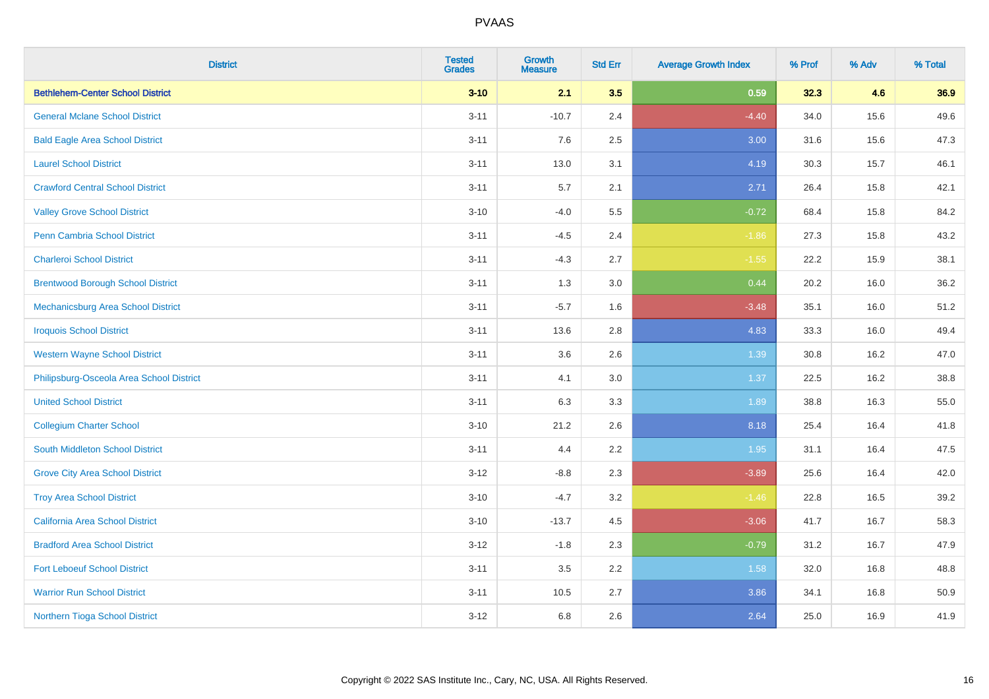| <b>District</b>                          | <b>Tested</b><br><b>Grades</b> | <b>Growth</b><br><b>Measure</b> | <b>Std Err</b> | <b>Average Growth Index</b> | % Prof | % Adv | % Total |
|------------------------------------------|--------------------------------|---------------------------------|----------------|-----------------------------|--------|-------|---------|
| <b>Bethlehem-Center School District</b>  | $3 - 10$                       | 2.1                             | 3.5            | 0.59                        | 32.3   | 4.6   | 36.9    |
| <b>General Mclane School District</b>    | $3 - 11$                       | $-10.7$                         | 2.4            | $-4.40$                     | 34.0   | 15.6  | 49.6    |
| <b>Bald Eagle Area School District</b>   | $3 - 11$                       | 7.6                             | 2.5            | 3.00                        | 31.6   | 15.6  | 47.3    |
| <b>Laurel School District</b>            | $3 - 11$                       | 13.0                            | 3.1            | 4.19                        | 30.3   | 15.7  | 46.1    |
| <b>Crawford Central School District</b>  | $3 - 11$                       | 5.7                             | 2.1            | 2.71                        | 26.4   | 15.8  | 42.1    |
| <b>Valley Grove School District</b>      | $3 - 10$                       | $-4.0$                          | 5.5            | $-0.72$                     | 68.4   | 15.8  | 84.2    |
| Penn Cambria School District             | $3 - 11$                       | $-4.5$                          | 2.4            | $-1.86$                     | 27.3   | 15.8  | 43.2    |
| <b>Charleroi School District</b>         | $3 - 11$                       | $-4.3$                          | 2.7            | $-1.55$                     | 22.2   | 15.9  | 38.1    |
| <b>Brentwood Borough School District</b> | $3 - 11$                       | 1.3                             | 3.0            | 0.44                        | 20.2   | 16.0  | 36.2    |
| Mechanicsburg Area School District       | $3 - 11$                       | $-5.7$                          | 1.6            | $-3.48$                     | 35.1   | 16.0  | 51.2    |
| <b>Iroquois School District</b>          | $3 - 11$                       | 13.6                            | 2.8            | 4.83                        | 33.3   | 16.0  | 49.4    |
| <b>Western Wayne School District</b>     | $3 - 11$                       | 3.6                             | 2.6            | 1.39                        | 30.8   | 16.2  | 47.0    |
| Philipsburg-Osceola Area School District | $3 - 11$                       | 4.1                             | 3.0            | 1.37                        | 22.5   | 16.2  | 38.8    |
| <b>United School District</b>            | $3 - 11$                       | 6.3                             | 3.3            | 1.89                        | 38.8   | 16.3  | 55.0    |
| <b>Collegium Charter School</b>          | $3 - 10$                       | 21.2                            | 2.6            | 8.18                        | 25.4   | 16.4  | 41.8    |
| South Middleton School District          | $3 - 11$                       | 4.4                             | 2.2            | 1.95                        | 31.1   | 16.4  | 47.5    |
| <b>Grove City Area School District</b>   | $3 - 12$                       | $-8.8$                          | 2.3            | $-3.89$                     | 25.6   | 16.4  | 42.0    |
| <b>Troy Area School District</b>         | $3 - 10$                       | $-4.7$                          | 3.2            | $-1.46$                     | 22.8   | 16.5  | 39.2    |
| <b>California Area School District</b>   | $3 - 10$                       | $-13.7$                         | 4.5            | $-3.06$                     | 41.7   | 16.7  | 58.3    |
| <b>Bradford Area School District</b>     | $3 - 12$                       | $-1.8$                          | 2.3            | $-0.79$                     | 31.2   | 16.7  | 47.9    |
| <b>Fort Leboeuf School District</b>      | $3 - 11$                       | $3.5\,$                         | 2.2            | 1.58                        | 32.0   | 16.8  | 48.8    |
| <b>Warrior Run School District</b>       | $3 - 11$                       | 10.5                            | 2.7            | 3.86                        | 34.1   | 16.8  | 50.9    |
| Northern Tioga School District           | $3 - 12$                       | 6.8                             | 2.6            | 2.64                        | 25.0   | 16.9  | 41.9    |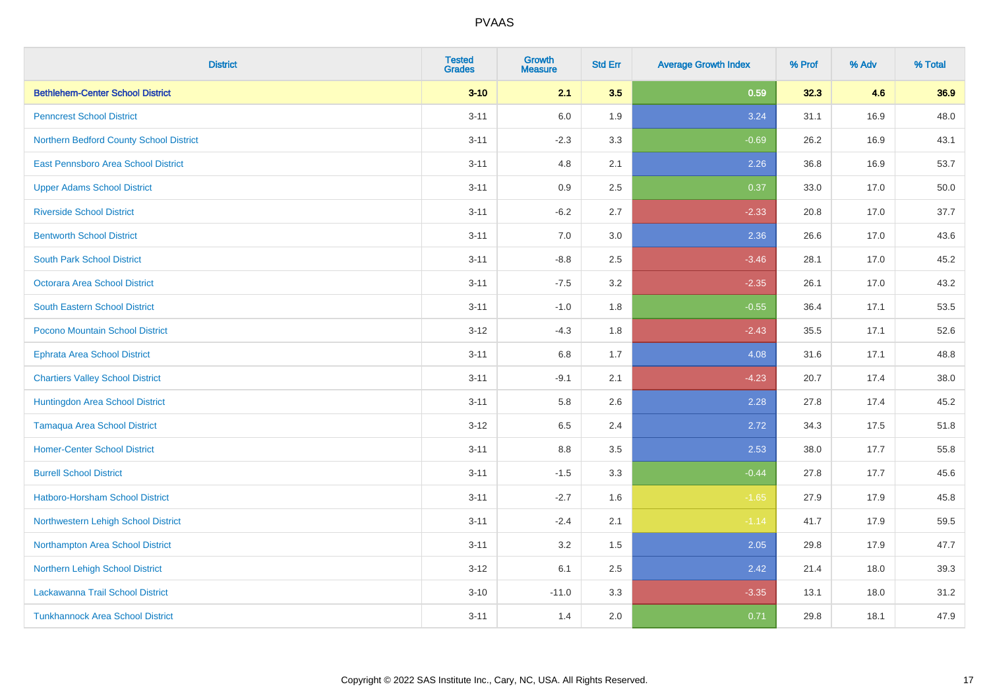| <b>District</b>                         | <b>Tested</b><br><b>Grades</b> | <b>Growth</b><br><b>Measure</b> | <b>Std Err</b> | <b>Average Growth Index</b> | % Prof | % Adv | % Total |
|-----------------------------------------|--------------------------------|---------------------------------|----------------|-----------------------------|--------|-------|---------|
| <b>Bethlehem-Center School District</b> | $3 - 10$                       | 2.1                             | 3.5            | 0.59                        | 32.3   | 4.6   | 36.9    |
| <b>Penncrest School District</b>        | $3 - 11$                       | 6.0                             | 1.9            | 3.24                        | 31.1   | 16.9  | 48.0    |
| Northern Bedford County School District | $3 - 11$                       | $-2.3$                          | 3.3            | $-0.69$                     | 26.2   | 16.9  | 43.1    |
| East Pennsboro Area School District     | $3 - 11$                       | 4.8                             | 2.1            | 2.26                        | 36.8   | 16.9  | 53.7    |
| <b>Upper Adams School District</b>      | $3 - 11$                       | 0.9                             | 2.5            | 0.37                        | 33.0   | 17.0  | 50.0    |
| <b>Riverside School District</b>        | $3 - 11$                       | $-6.2$                          | 2.7            | $-2.33$                     | 20.8   | 17.0  | 37.7    |
| <b>Bentworth School District</b>        | $3 - 11$                       | 7.0                             | 3.0            | 2.36                        | 26.6   | 17.0  | 43.6    |
| <b>South Park School District</b>       | $3 - 11$                       | $-8.8$                          | 2.5            | $-3.46$                     | 28.1   | 17.0  | 45.2    |
| <b>Octorara Area School District</b>    | $3 - 11$                       | $-7.5$                          | 3.2            | $-2.35$                     | 26.1   | 17.0  | 43.2    |
| <b>South Eastern School District</b>    | $3 - 11$                       | $-1.0$                          | 1.8            | $-0.55$                     | 36.4   | 17.1  | 53.5    |
| Pocono Mountain School District         | $3 - 12$                       | $-4.3$                          | 1.8            | $-2.43$                     | 35.5   | 17.1  | 52.6    |
| <b>Ephrata Area School District</b>     | $3 - 11$                       | 6.8                             | 1.7            | 4.08                        | 31.6   | 17.1  | 48.8    |
| <b>Chartiers Valley School District</b> | $3 - 11$                       | $-9.1$                          | 2.1            | $-4.23$                     | 20.7   | 17.4  | 38.0    |
| Huntingdon Area School District         | $3 - 11$                       | 5.8                             | 2.6            | 2.28                        | 27.8   | 17.4  | 45.2    |
| <b>Tamaqua Area School District</b>     | $3-12$                         | 6.5                             | 2.4            | 2.72                        | 34.3   | 17.5  | 51.8    |
| <b>Homer-Center School District</b>     | $3 - 11$                       | $8.8\,$                         | 3.5            | 2.53                        | 38.0   | 17.7  | 55.8    |
| <b>Burrell School District</b>          | $3 - 11$                       | $-1.5$                          | 3.3            | $-0.44$                     | 27.8   | 17.7  | 45.6    |
| Hatboro-Horsham School District         | $3 - 11$                       | $-2.7$                          | 1.6            | $-1.65$                     | 27.9   | 17.9  | 45.8    |
| Northwestern Lehigh School District     | $3 - 11$                       | $-2.4$                          | 2.1            | $-1.14$                     | 41.7   | 17.9  | 59.5    |
| Northampton Area School District        | $3 - 11$                       | 3.2                             | 1.5            | 2.05                        | 29.8   | 17.9  | 47.7    |
| Northern Lehigh School District         | $3 - 12$                       | 6.1                             | 2.5            | 2.42                        | 21.4   | 18.0  | 39.3    |
| Lackawanna Trail School District        | $3 - 10$                       | $-11.0$                         | 3.3            | $-3.35$                     | 13.1   | 18.0  | 31.2    |
| <b>Tunkhannock Area School District</b> | $3 - 11$                       | 1.4                             | 2.0            | 0.71                        | 29.8   | 18.1  | 47.9    |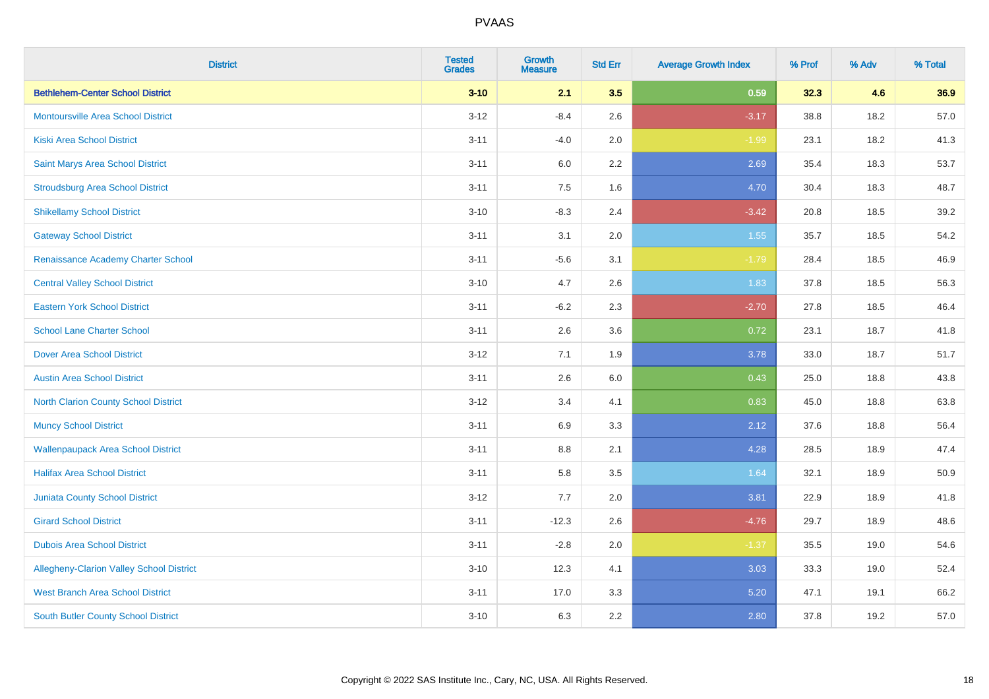| <b>District</b>                             | <b>Tested</b><br><b>Grades</b> | <b>Growth</b><br><b>Measure</b> | <b>Std Err</b> | <b>Average Growth Index</b> | % Prof | % Adv | % Total |
|---------------------------------------------|--------------------------------|---------------------------------|----------------|-----------------------------|--------|-------|---------|
| <b>Bethlehem-Center School District</b>     | $3 - 10$                       | 2.1                             | 3.5            | 0.59                        | 32.3   | 4.6   | 36.9    |
| <b>Montoursville Area School District</b>   | $3 - 12$                       | $-8.4$                          | 2.6            | $-3.17$                     | 38.8   | 18.2  | 57.0    |
| <b>Kiski Area School District</b>           | $3 - 11$                       | $-4.0$                          | 2.0            | $-1.99$                     | 23.1   | 18.2  | 41.3    |
| Saint Marys Area School District            | $3 - 11$                       | 6.0                             | 2.2            | 2.69                        | 35.4   | 18.3  | 53.7    |
| <b>Stroudsburg Area School District</b>     | $3 - 11$                       | 7.5                             | 1.6            | 4.70                        | 30.4   | 18.3  | 48.7    |
| <b>Shikellamy School District</b>           | $3 - 10$                       | $-8.3$                          | 2.4            | $-3.42$                     | 20.8   | 18.5  | 39.2    |
| <b>Gateway School District</b>              | $3 - 11$                       | 3.1                             | 2.0            | $1.55$                      | 35.7   | 18.5  | 54.2    |
| Renaissance Academy Charter School          | $3 - 11$                       | $-5.6$                          | 3.1            | $-1.79$                     | 28.4   | 18.5  | 46.9    |
| <b>Central Valley School District</b>       | $3 - 10$                       | 4.7                             | 2.6            | 1.83                        | 37.8   | 18.5  | 56.3    |
| <b>Eastern York School District</b>         | $3 - 11$                       | $-6.2$                          | 2.3            | $-2.70$                     | 27.8   | 18.5  | 46.4    |
| <b>School Lane Charter School</b>           | $3 - 11$                       | 2.6                             | 3.6            | 0.72                        | 23.1   | 18.7  | 41.8    |
| <b>Dover Area School District</b>           | $3 - 12$                       | 7.1                             | 1.9            | 3.78                        | 33.0   | 18.7  | 51.7    |
| <b>Austin Area School District</b>          | $3 - 11$                       | 2.6                             | 6.0            | 0.43                        | 25.0   | 18.8  | 43.8    |
| <b>North Clarion County School District</b> | $3-12$                         | 3.4                             | 4.1            | 0.83                        | 45.0   | 18.8  | 63.8    |
| <b>Muncy School District</b>                | $3 - 11$                       | 6.9                             | 3.3            | 2.12                        | 37.6   | 18.8  | 56.4    |
| <b>Wallenpaupack Area School District</b>   | $3 - 11$                       | 8.8                             | 2.1            | 4.28                        | 28.5   | 18.9  | 47.4    |
| <b>Halifax Area School District</b>         | $3 - 11$                       | 5.8                             | 3.5            | 1.64                        | 32.1   | 18.9  | 50.9    |
| <b>Juniata County School District</b>       | $3 - 12$                       | 7.7                             | 2.0            | 3.81                        | 22.9   | 18.9  | 41.8    |
| <b>Girard School District</b>               | $3 - 11$                       | $-12.3$                         | 2.6            | $-4.76$                     | 29.7   | 18.9  | 48.6    |
| <b>Dubois Area School District</b>          | $3 - 11$                       | $-2.8$                          | 2.0            | $-1.37$                     | 35.5   | 19.0  | 54.6    |
| Allegheny-Clarion Valley School District    | $3 - 10$                       | 12.3                            | 4.1            | 3.03                        | 33.3   | 19.0  | 52.4    |
| <b>West Branch Area School District</b>     | $3 - 11$                       | 17.0                            | 3.3            | 5.20                        | 47.1   | 19.1  | 66.2    |
| <b>South Butler County School District</b>  | $3 - 10$                       | 6.3                             | 2.2            | 2.80                        | 37.8   | 19.2  | 57.0    |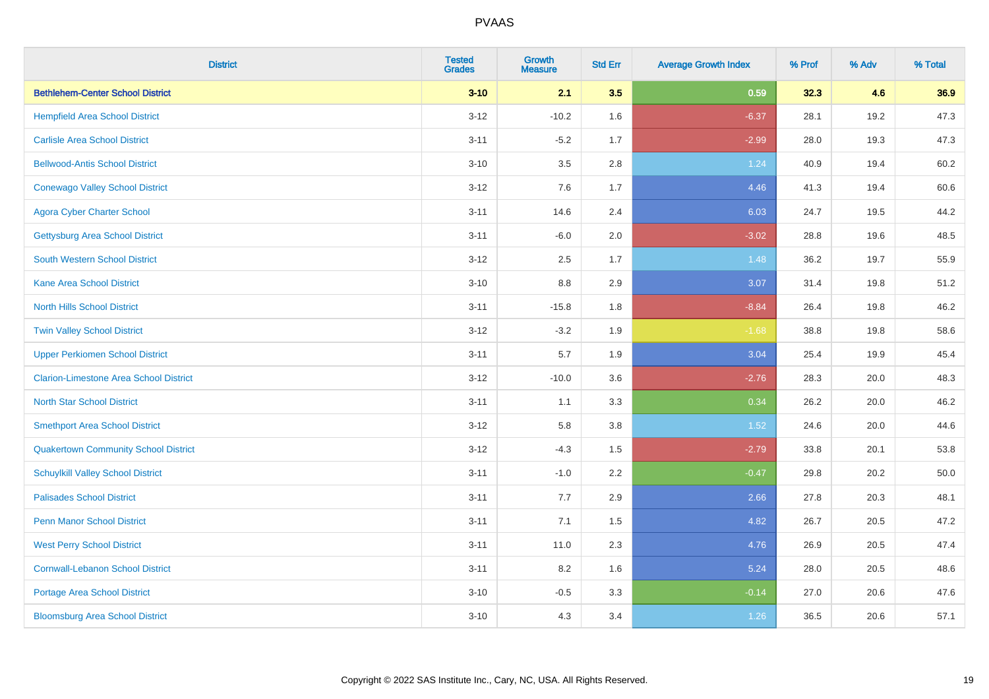| <b>District</b>                               | <b>Tested</b><br><b>Grades</b> | <b>Growth</b><br><b>Measure</b> | <b>Std Err</b> | <b>Average Growth Index</b> | % Prof | % Adv | % Total |
|-----------------------------------------------|--------------------------------|---------------------------------|----------------|-----------------------------|--------|-------|---------|
| <b>Bethlehem-Center School District</b>       | $3 - 10$                       | 2.1                             | 3.5            | 0.59                        | 32.3   | 4.6   | 36.9    |
| <b>Hempfield Area School District</b>         | $3 - 12$                       | $-10.2$                         | 1.6            | $-6.37$                     | 28.1   | 19.2  | 47.3    |
| <b>Carlisle Area School District</b>          | $3 - 11$                       | $-5.2$                          | 1.7            | $-2.99$                     | 28.0   | 19.3  | 47.3    |
| <b>Bellwood-Antis School District</b>         | $3 - 10$                       | 3.5                             | 2.8            | 1.24                        | 40.9   | 19.4  | 60.2    |
| <b>Conewago Valley School District</b>        | $3 - 12$                       | 7.6                             | 1.7            | 4.46                        | 41.3   | 19.4  | 60.6    |
| <b>Agora Cyber Charter School</b>             | $3 - 11$                       | 14.6                            | 2.4            | 6.03                        | 24.7   | 19.5  | 44.2    |
| <b>Gettysburg Area School District</b>        | $3 - 11$                       | $-6.0$                          | 2.0            | $-3.02$                     | 28.8   | 19.6  | 48.5    |
| <b>South Western School District</b>          | $3 - 12$                       | 2.5                             | 1.7            | 1.48                        | 36.2   | 19.7  | 55.9    |
| <b>Kane Area School District</b>              | $3 - 10$                       | 8.8                             | 2.9            | 3.07                        | 31.4   | 19.8  | 51.2    |
| <b>North Hills School District</b>            | $3 - 11$                       | $-15.8$                         | 1.8            | $-8.84$                     | 26.4   | 19.8  | 46.2    |
| <b>Twin Valley School District</b>            | $3 - 12$                       | $-3.2$                          | 1.9            | $-1.68$                     | 38.8   | 19.8  | 58.6    |
| <b>Upper Perkiomen School District</b>        | $3 - 11$                       | 5.7                             | 1.9            | 3.04                        | 25.4   | 19.9  | 45.4    |
| <b>Clarion-Limestone Area School District</b> | $3 - 12$                       | $-10.0$                         | 3.6            | $-2.76$                     | 28.3   | 20.0  | 48.3    |
| <b>North Star School District</b>             | $3 - 11$                       | 1.1                             | 3.3            | 0.34                        | 26.2   | 20.0  | 46.2    |
| <b>Smethport Area School District</b>         | $3 - 12$                       | 5.8                             | 3.8            | 1.52                        | 24.6   | 20.0  | 44.6    |
| <b>Quakertown Community School District</b>   | $3 - 12$                       | $-4.3$                          | 1.5            | $-2.79$                     | 33.8   | 20.1  | 53.8    |
| <b>Schuylkill Valley School District</b>      | $3 - 11$                       | $-1.0$                          | 2.2            | $-0.47$                     | 29.8   | 20.2  | 50.0    |
| <b>Palisades School District</b>              | $3 - 11$                       | 7.7                             | 2.9            | 2.66                        | 27.8   | 20.3  | 48.1    |
| Penn Manor School District                    | $3 - 11$                       | 7.1                             | 1.5            | 4.82                        | 26.7   | 20.5  | 47.2    |
| <b>West Perry School District</b>             | $3 - 11$                       | 11.0                            | 2.3            | 4.76                        | 26.9   | 20.5  | 47.4    |
| <b>Cornwall-Lebanon School District</b>       | $3 - 11$                       | 8.2                             | 1.6            | 5.24                        | 28.0   | 20.5  | 48.6    |
| <b>Portage Area School District</b>           | $3 - 10$                       | $-0.5$                          | 3.3            | $-0.14$                     | 27.0   | 20.6  | 47.6    |
| <b>Bloomsburg Area School District</b>        | $3 - 10$                       | 4.3                             | 3.4            | 1.26                        | 36.5   | 20.6  | 57.1    |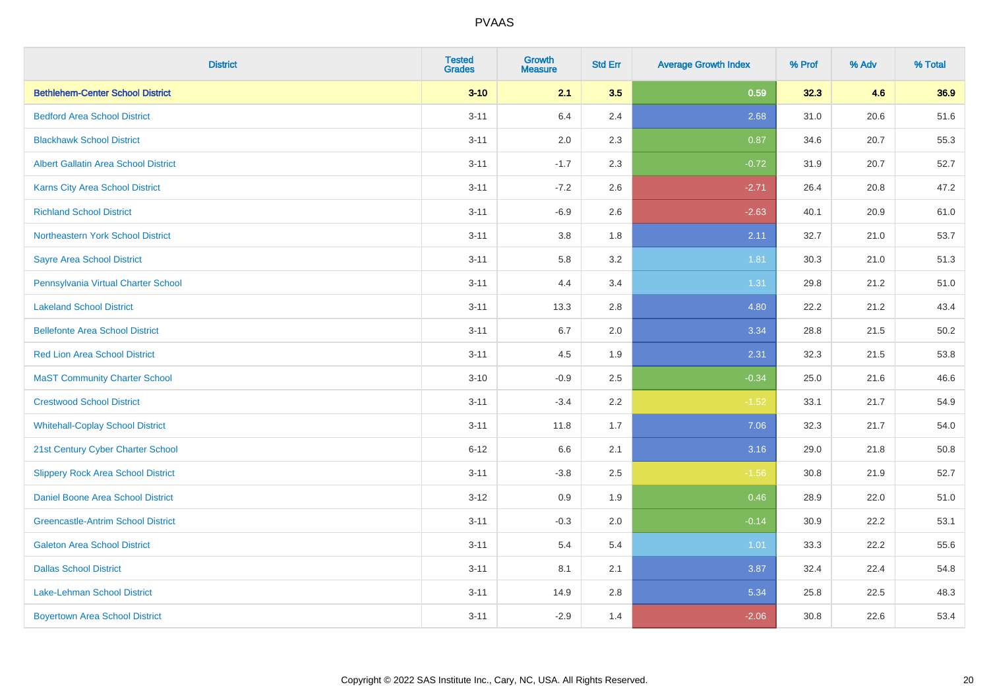| <b>District</b>                             | <b>Tested</b><br><b>Grades</b> | <b>Growth</b><br><b>Measure</b> | <b>Std Err</b> | <b>Average Growth Index</b> | % Prof | % Adv | % Total |
|---------------------------------------------|--------------------------------|---------------------------------|----------------|-----------------------------|--------|-------|---------|
| <b>Bethlehem-Center School District</b>     | $3 - 10$                       | 2.1                             | 3.5            | 0.59                        | 32.3   | 4.6   | 36.9    |
| <b>Bedford Area School District</b>         | $3 - 11$                       | 6.4                             | 2.4            | 2.68                        | 31.0   | 20.6  | 51.6    |
| <b>Blackhawk School District</b>            | $3 - 11$                       | 2.0                             | 2.3            | 0.87                        | 34.6   | 20.7  | 55.3    |
| <b>Albert Gallatin Area School District</b> | $3 - 11$                       | $-1.7$                          | 2.3            | $-0.72$                     | 31.9   | 20.7  | 52.7    |
| <b>Karns City Area School District</b>      | $3 - 11$                       | $-7.2$                          | 2.6            | $-2.71$                     | 26.4   | 20.8  | 47.2    |
| <b>Richland School District</b>             | $3 - 11$                       | $-6.9$                          | 2.6            | $-2.63$                     | 40.1   | 20.9  | 61.0    |
| Northeastern York School District           | $3 - 11$                       | $3.8\,$                         | 1.8            | 2.11                        | 32.7   | 21.0  | 53.7    |
| <b>Sayre Area School District</b>           | $3 - 11$                       | 5.8                             | 3.2            | 1.81                        | 30.3   | 21.0  | 51.3    |
| Pennsylvania Virtual Charter School         | $3 - 11$                       | 4.4                             | 3.4            | 1.31                        | 29.8   | 21.2  | 51.0    |
| <b>Lakeland School District</b>             | $3 - 11$                       | 13.3                            | 2.8            | 4.80                        | 22.2   | 21.2  | 43.4    |
| <b>Bellefonte Area School District</b>      | $3 - 11$                       | 6.7                             | 2.0            | 3.34                        | 28.8   | 21.5  | 50.2    |
| <b>Red Lion Area School District</b>        | $3 - 11$                       | 4.5                             | 1.9            | 2.31                        | 32.3   | 21.5  | 53.8    |
| <b>MaST Community Charter School</b>        | $3 - 10$                       | $-0.9$                          | 2.5            | $-0.34$                     | 25.0   | 21.6  | 46.6    |
| <b>Crestwood School District</b>            | $3 - 11$                       | $-3.4$                          | 2.2            | $-1.52$                     | 33.1   | 21.7  | 54.9    |
| <b>Whitehall-Coplay School District</b>     | $3 - 11$                       | 11.8                            | 1.7            | 7.06                        | 32.3   | 21.7  | 54.0    |
| 21st Century Cyber Charter School           | $6 - 12$                       | 6.6                             | 2.1            | 3.16                        | 29.0   | 21.8  | 50.8    |
| <b>Slippery Rock Area School District</b>   | $3 - 11$                       | $-3.8$                          | 2.5            | $-1.56$                     | 30.8   | 21.9  | 52.7    |
| <b>Daniel Boone Area School District</b>    | $3-12$                         | 0.9                             | 1.9            | 0.46                        | 28.9   | 22.0  | 51.0    |
| <b>Greencastle-Antrim School District</b>   | $3 - 11$                       | $-0.3$                          | 2.0            | $-0.14$                     | 30.9   | 22.2  | 53.1    |
| <b>Galeton Area School District</b>         | $3 - 11$                       | 5.4                             | 5.4            | 1.01                        | 33.3   | 22.2  | 55.6    |
| <b>Dallas School District</b>               | $3 - 11$                       | 8.1                             | 2.1            | 3.87                        | 32.4   | 22.4  | 54.8    |
| Lake-Lehman School District                 | $3 - 11$                       | 14.9                            | 2.8            | 5.34                        | 25.8   | 22.5  | 48.3    |
| <b>Boyertown Area School District</b>       | $3 - 11$                       | $-2.9$                          | 1.4            | $-2.06$                     | 30.8   | 22.6  | 53.4    |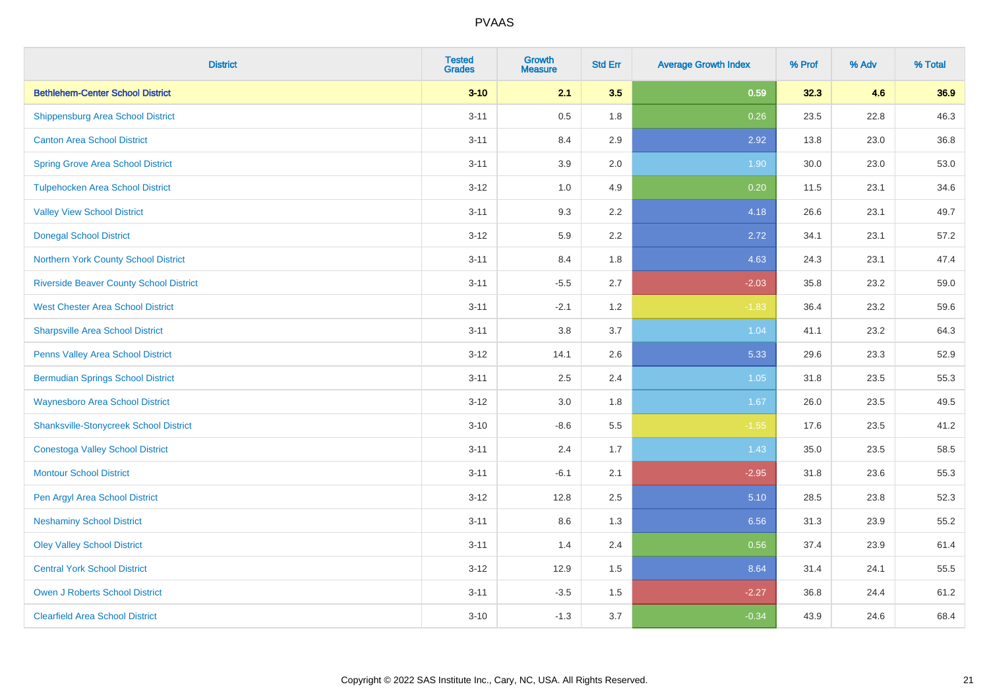| <b>District</b>                                | <b>Tested</b><br><b>Grades</b> | <b>Growth</b><br><b>Measure</b> | <b>Std Err</b> | <b>Average Growth Index</b> | % Prof | % Adv | % Total |
|------------------------------------------------|--------------------------------|---------------------------------|----------------|-----------------------------|--------|-------|---------|
| <b>Bethlehem-Center School District</b>        | $3 - 10$                       | 2.1                             | 3.5            | 0.59                        | 32.3   | 4.6   | 36.9    |
| <b>Shippensburg Area School District</b>       | $3 - 11$                       | 0.5                             | 1.8            | 0.26                        | 23.5   | 22.8  | 46.3    |
| <b>Canton Area School District</b>             | $3 - 11$                       | 8.4                             | 2.9            | 2.92                        | 13.8   | 23.0  | 36.8    |
| <b>Spring Grove Area School District</b>       | $3 - 11$                       | 3.9                             | 2.0            | 1.90                        | 30.0   | 23.0  | 53.0    |
| <b>Tulpehocken Area School District</b>        | $3-12$                         | 1.0                             | 4.9            | 0.20                        | 11.5   | 23.1  | 34.6    |
| <b>Valley View School District</b>             | $3 - 11$                       | 9.3                             | 2.2            | 4.18                        | 26.6   | 23.1  | 49.7    |
| <b>Donegal School District</b>                 | $3-12$                         | 5.9                             | 2.2            | 2.72                        | 34.1   | 23.1  | 57.2    |
| Northern York County School District           | $3 - 11$                       | 8.4                             | 1.8            | 4.63                        | 24.3   | 23.1  | 47.4    |
| <b>Riverside Beaver County School District</b> | $3 - 11$                       | $-5.5$                          | 2.7            | $-2.03$                     | 35.8   | 23.2  | 59.0    |
| <b>West Chester Area School District</b>       | $3 - 11$                       | $-2.1$                          | 1.2            | $-1.83$                     | 36.4   | 23.2  | 59.6    |
| <b>Sharpsville Area School District</b>        | $3 - 11$                       | 3.8                             | 3.7            | 1.04                        | 41.1   | 23.2  | 64.3    |
| Penns Valley Area School District              | $3 - 12$                       | 14.1                            | 2.6            | 5.33                        | 29.6   | 23.3  | 52.9    |
| <b>Bermudian Springs School District</b>       | $3 - 11$                       | 2.5                             | 2.4            | 1.05                        | 31.8   | 23.5  | 55.3    |
| <b>Waynesboro Area School District</b>         | $3-12$                         | 3.0                             | 1.8            | 1.67                        | 26.0   | 23.5  | 49.5    |
| <b>Shanksville-Stonycreek School District</b>  | $3 - 10$                       | $-8.6$                          | 5.5            | $-1.55$                     | 17.6   | 23.5  | 41.2    |
| <b>Conestoga Valley School District</b>        | $3 - 11$                       | 2.4                             | 1.7            | 1.43                        | 35.0   | 23.5  | 58.5    |
| <b>Montour School District</b>                 | $3 - 11$                       | $-6.1$                          | 2.1            | $-2.95$                     | 31.8   | 23.6  | 55.3    |
| Pen Argyl Area School District                 | $3 - 12$                       | 12.8                            | 2.5            | 5.10                        | 28.5   | 23.8  | 52.3    |
| <b>Neshaminy School District</b>               | $3 - 11$                       | 8.6                             | 1.3            | 6.56                        | 31.3   | 23.9  | 55.2    |
| <b>Oley Valley School District</b>             | $3 - 11$                       | 1.4                             | 2.4            | 0.56                        | 37.4   | 23.9  | 61.4    |
| <b>Central York School District</b>            | $3-12$                         | 12.9                            | 1.5            | 8.64                        | 31.4   | 24.1  | 55.5    |
| <b>Owen J Roberts School District</b>          | $3 - 11$                       | $-3.5$                          | 1.5            | $-2.27$                     | 36.8   | 24.4  | 61.2    |
| <b>Clearfield Area School District</b>         | $3 - 10$                       | $-1.3$                          | 3.7            | $-0.34$                     | 43.9   | 24.6  | 68.4    |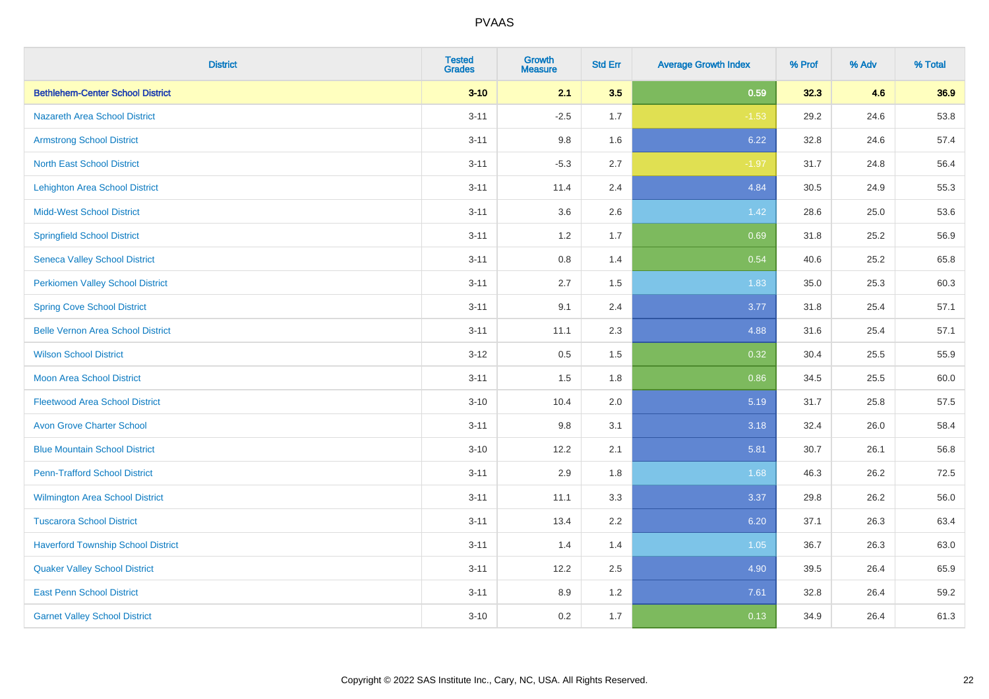| <b>District</b>                           | <b>Tested</b><br><b>Grades</b> | <b>Growth</b><br><b>Measure</b> | <b>Std Err</b> | <b>Average Growth Index</b> | % Prof | % Adv | % Total |
|-------------------------------------------|--------------------------------|---------------------------------|----------------|-----------------------------|--------|-------|---------|
| <b>Bethlehem-Center School District</b>   | $3 - 10$                       | 2.1                             | 3.5            | 0.59                        | 32.3   | 4.6   | 36.9    |
| <b>Nazareth Area School District</b>      | $3 - 11$                       | $-2.5$                          | 1.7            | $-1.53$                     | 29.2   | 24.6  | 53.8    |
| <b>Armstrong School District</b>          | $3 - 11$                       | 9.8                             | 1.6            | 6.22                        | 32.8   | 24.6  | 57.4    |
| <b>North East School District</b>         | $3 - 11$                       | $-5.3$                          | 2.7            | $-1.97$                     | 31.7   | 24.8  | 56.4    |
| Lehighton Area School District            | $3 - 11$                       | 11.4                            | 2.4            | 4.84                        | 30.5   | 24.9  | 55.3    |
| <b>Midd-West School District</b>          | $3 - 11$                       | 3.6                             | 2.6            | 1.42                        | 28.6   | 25.0  | 53.6    |
| <b>Springfield School District</b>        | $3 - 11$                       | 1.2                             | 1.7            | 0.69                        | 31.8   | 25.2  | 56.9    |
| <b>Seneca Valley School District</b>      | $3 - 11$                       | 0.8                             | 1.4            | 0.54                        | 40.6   | 25.2  | 65.8    |
| <b>Perkiomen Valley School District</b>   | $3 - 11$                       | 2.7                             | 1.5            | 1.83                        | 35.0   | 25.3  | 60.3    |
| <b>Spring Cove School District</b>        | $3 - 11$                       | 9.1                             | 2.4            | 3.77                        | 31.8   | 25.4  | 57.1    |
| <b>Belle Vernon Area School District</b>  | $3 - 11$                       | 11.1                            | 2.3            | 4.88                        | 31.6   | 25.4  | 57.1    |
| <b>Wilson School District</b>             | $3 - 12$                       | 0.5                             | 1.5            | 0.32                        | 30.4   | 25.5  | 55.9    |
| Moon Area School District                 | $3 - 11$                       | 1.5                             | 1.8            | 0.86                        | 34.5   | 25.5  | 60.0    |
| <b>Fleetwood Area School District</b>     | $3 - 10$                       | 10.4                            | 2.0            | 5.19                        | 31.7   | 25.8  | 57.5    |
| <b>Avon Grove Charter School</b>          | $3 - 11$                       | 9.8                             | 3.1            | 3.18                        | 32.4   | 26.0  | 58.4    |
| <b>Blue Mountain School District</b>      | $3 - 10$                       | 12.2                            | 2.1            | 5.81                        | 30.7   | 26.1  | 56.8    |
| <b>Penn-Trafford School District</b>      | $3 - 11$                       | 2.9                             | 1.8            | 1.68                        | 46.3   | 26.2  | 72.5    |
| <b>Wilmington Area School District</b>    | $3 - 11$                       | 11.1                            | 3.3            | 3.37                        | 29.8   | 26.2  | 56.0    |
| <b>Tuscarora School District</b>          | $3 - 11$                       | 13.4                            | 2.2            | 6.20                        | 37.1   | 26.3  | 63.4    |
| <b>Haverford Township School District</b> | $3 - 11$                       | 1.4                             | 1.4            | 1.05                        | 36.7   | 26.3  | 63.0    |
| <b>Quaker Valley School District</b>      | $3 - 11$                       | 12.2                            | 2.5            | 4.90                        | 39.5   | 26.4  | 65.9    |
| <b>East Penn School District</b>          | $3 - 11$                       | 8.9                             | 1.2            | 7.61                        | 32.8   | 26.4  | 59.2    |
| <b>Garnet Valley School District</b>      | $3 - 10$                       | 0.2                             | 1.7            | 0.13                        | 34.9   | 26.4  | 61.3    |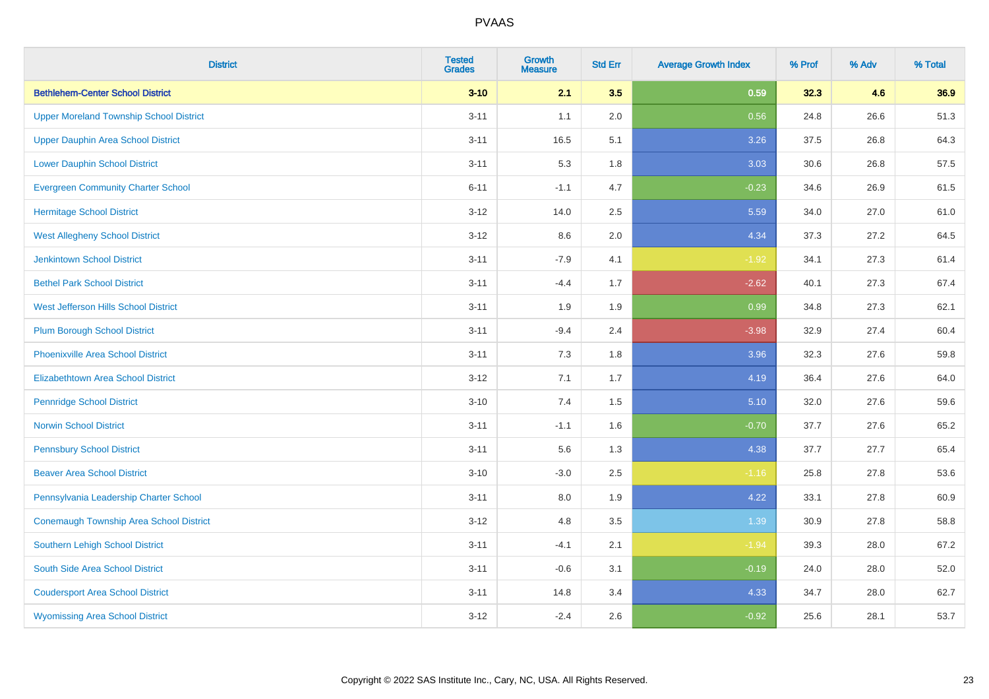| <b>District</b>                                | <b>Tested</b><br><b>Grades</b> | <b>Growth</b><br><b>Measure</b> | <b>Std Err</b> | <b>Average Growth Index</b> | % Prof | % Adv | % Total |
|------------------------------------------------|--------------------------------|---------------------------------|----------------|-----------------------------|--------|-------|---------|
| <b>Bethlehem-Center School District</b>        | $3 - 10$                       | 2.1                             | 3.5            | 0.59                        | 32.3   | 4.6   | 36.9    |
| <b>Upper Moreland Township School District</b> | $3 - 11$                       | 1.1                             | 2.0            | 0.56                        | 24.8   | 26.6  | 51.3    |
| <b>Upper Dauphin Area School District</b>      | $3 - 11$                       | 16.5                            | 5.1            | 3.26                        | 37.5   | 26.8  | 64.3    |
| <b>Lower Dauphin School District</b>           | $3 - 11$                       | 5.3                             | 1.8            | 3.03                        | 30.6   | 26.8  | 57.5    |
| <b>Evergreen Community Charter School</b>      | $6 - 11$                       | $-1.1$                          | 4.7            | $-0.23$                     | 34.6   | 26.9  | 61.5    |
| <b>Hermitage School District</b>               | $3 - 12$                       | 14.0                            | 2.5            | 5.59                        | 34.0   | 27.0  | 61.0    |
| <b>West Allegheny School District</b>          | $3 - 12$                       | 8.6                             | 2.0            | 4.34                        | 37.3   | 27.2  | 64.5    |
| <b>Jenkintown School District</b>              | $3 - 11$                       | $-7.9$                          | 4.1            | $-1.92$                     | 34.1   | 27.3  | 61.4    |
| <b>Bethel Park School District</b>             | $3 - 11$                       | $-4.4$                          | 1.7            | $-2.62$                     | 40.1   | 27.3  | 67.4    |
| <b>West Jefferson Hills School District</b>    | $3 - 11$                       | 1.9                             | 1.9            | 0.99                        | 34.8   | 27.3  | 62.1    |
| <b>Plum Borough School District</b>            | $3 - 11$                       | $-9.4$                          | 2.4            | $-3.98$                     | 32.9   | 27.4  | 60.4    |
| <b>Phoenixville Area School District</b>       | $3 - 11$                       | 7.3                             | 1.8            | 3.96                        | 32.3   | 27.6  | 59.8    |
| Elizabethtown Area School District             | $3 - 12$                       | 7.1                             | 1.7            | 4.19                        | 36.4   | 27.6  | 64.0    |
| <b>Pennridge School District</b>               | $3 - 10$                       | 7.4                             | 1.5            | 5.10                        | 32.0   | 27.6  | 59.6    |
| <b>Norwin School District</b>                  | $3 - 11$                       | $-1.1$                          | 1.6            | $-0.70$                     | 37.7   | 27.6  | 65.2    |
| <b>Pennsbury School District</b>               | $3 - 11$                       | 5.6                             | 1.3            | 4.38                        | 37.7   | 27.7  | 65.4    |
| <b>Beaver Area School District</b>             | $3 - 10$                       | $-3.0$                          | 2.5            | $-1.16$                     | 25.8   | 27.8  | 53.6    |
| Pennsylvania Leadership Charter School         | $3 - 11$                       | 8.0                             | 1.9            | 4.22                        | 33.1   | 27.8  | 60.9    |
| Conemaugh Township Area School District        | $3 - 12$                       | 4.8                             | 3.5            | 1.39                        | 30.9   | 27.8  | 58.8    |
| <b>Southern Lehigh School District</b>         | $3 - 11$                       | $-4.1$                          | 2.1            | $-1.94$                     | 39.3   | 28.0  | 67.2    |
| South Side Area School District                | $3 - 11$                       | $-0.6$                          | 3.1            | $-0.19$                     | 24.0   | 28.0  | 52.0    |
| <b>Coudersport Area School District</b>        | $3 - 11$                       | 14.8                            | 3.4            | 4.33                        | 34.7   | 28.0  | 62.7    |
| <b>Wyomissing Area School District</b>         | $3 - 12$                       | $-2.4$                          | 2.6            | $-0.92$                     | 25.6   | 28.1  | 53.7    |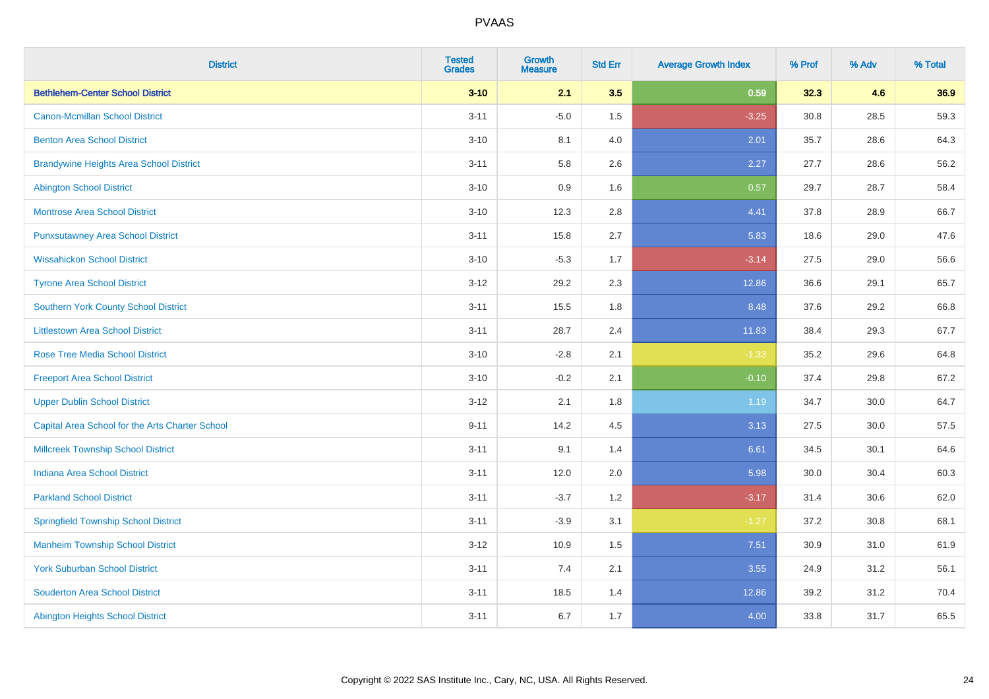| <b>District</b>                                 | <b>Tested</b><br><b>Grades</b> | <b>Growth</b><br><b>Measure</b> | <b>Std Err</b> | <b>Average Growth Index</b> | % Prof | % Adv | % Total |
|-------------------------------------------------|--------------------------------|---------------------------------|----------------|-----------------------------|--------|-------|---------|
| <b>Bethlehem-Center School District</b>         | $3 - 10$                       | 2.1                             | 3.5            | 0.59                        | 32.3   | 4.6   | 36.9    |
| <b>Canon-Mcmillan School District</b>           | $3 - 11$                       | $-5.0$                          | 1.5            | $-3.25$                     | 30.8   | 28.5  | 59.3    |
| <b>Benton Area School District</b>              | $3 - 10$                       | 8.1                             | 4.0            | 2.01                        | 35.7   | 28.6  | 64.3    |
| <b>Brandywine Heights Area School District</b>  | $3 - 11$                       | 5.8                             | 2.6            | 2.27                        | 27.7   | 28.6  | 56.2    |
| <b>Abington School District</b>                 | $3 - 10$                       | 0.9                             | 1.6            | 0.57                        | 29.7   | 28.7  | 58.4    |
| <b>Montrose Area School District</b>            | $3 - 10$                       | 12.3                            | 2.8            | 4.41                        | 37.8   | 28.9  | 66.7    |
| <b>Punxsutawney Area School District</b>        | $3 - 11$                       | 15.8                            | 2.7            | 5.83                        | 18.6   | 29.0  | 47.6    |
| <b>Wissahickon School District</b>              | $3 - 10$                       | $-5.3$                          | 1.7            | $-3.14$                     | 27.5   | 29.0  | 56.6    |
| <b>Tyrone Area School District</b>              | $3-12$                         | 29.2                            | 2.3            | 12.86                       | 36.6   | 29.1  | 65.7    |
| <b>Southern York County School District</b>     | $3 - 11$                       | 15.5                            | 1.8            | 8.48                        | 37.6   | 29.2  | 66.8    |
| <b>Littlestown Area School District</b>         | $3 - 11$                       | 28.7                            | 2.4            | 11.83                       | 38.4   | 29.3  | 67.7    |
| <b>Rose Tree Media School District</b>          | $3 - 10$                       | $-2.8$                          | 2.1            | $-1.33$                     | 35.2   | 29.6  | 64.8    |
| <b>Freeport Area School District</b>            | $3 - 10$                       | $-0.2$                          | 2.1            | $-0.10$                     | 37.4   | 29.8  | 67.2    |
| <b>Upper Dublin School District</b>             | $3-12$                         | 2.1                             | 1.8            | 1.19                        | 34.7   | 30.0  | 64.7    |
| Capital Area School for the Arts Charter School | $9 - 11$                       | 14.2                            | 4.5            | 3.13                        | 27.5   | 30.0  | 57.5    |
| <b>Millcreek Township School District</b>       | $3 - 11$                       | 9.1                             | 1.4            | 6.61                        | 34.5   | 30.1  | 64.6    |
| <b>Indiana Area School District</b>             | $3 - 11$                       | 12.0                            | 2.0            | 5.98                        | 30.0   | 30.4  | 60.3    |
| <b>Parkland School District</b>                 | $3 - 11$                       | $-3.7$                          | 1.2            | $-3.17$                     | 31.4   | 30.6  | 62.0    |
| <b>Springfield Township School District</b>     | $3 - 11$                       | $-3.9$                          | 3.1            | $-1.27$                     | 37.2   | 30.8  | 68.1    |
| <b>Manheim Township School District</b>         | $3-12$                         | 10.9                            | 1.5            | 7.51                        | 30.9   | 31.0  | 61.9    |
| <b>York Suburban School District</b>            | $3 - 11$                       | 7.4                             | 2.1            | 3.55                        | 24.9   | 31.2  | 56.1    |
| <b>Souderton Area School District</b>           | $3 - 11$                       | 18.5                            | 1.4            | 12.86                       | 39.2   | 31.2  | 70.4    |
| <b>Abington Heights School District</b>         | $3 - 11$                       | 6.7                             | 1.7            | 4.00                        | 33.8   | 31.7  | 65.5    |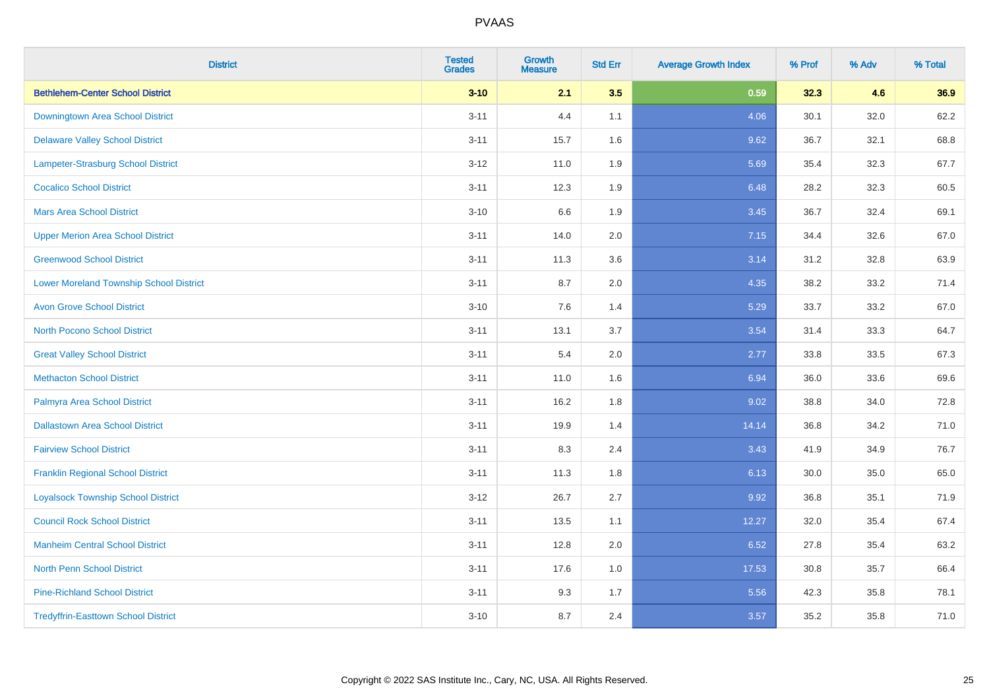| <b>District</b>                                | <b>Tested</b><br><b>Grades</b> | <b>Growth</b><br><b>Measure</b> | <b>Std Err</b> | <b>Average Growth Index</b> | % Prof | % Adv | % Total |
|------------------------------------------------|--------------------------------|---------------------------------|----------------|-----------------------------|--------|-------|---------|
| <b>Bethlehem-Center School District</b>        | $3 - 10$                       | 2.1                             | 3.5            | 0.59                        | 32.3   | 4.6   | 36.9    |
| Downingtown Area School District               | $3 - 11$                       | 4.4                             | 1.1            | 4.06                        | 30.1   | 32.0  | 62.2    |
| <b>Delaware Valley School District</b>         | $3 - 11$                       | 15.7                            | 1.6            | 9.62                        | 36.7   | 32.1  | 68.8    |
| Lampeter-Strasburg School District             | $3 - 12$                       | 11.0                            | 1.9            | 5.69                        | 35.4   | 32.3  | 67.7    |
| <b>Cocalico School District</b>                | $3 - 11$                       | 12.3                            | 1.9            | 6.48                        | 28.2   | 32.3  | 60.5    |
| <b>Mars Area School District</b>               | $3 - 10$                       | 6.6                             | 1.9            | 3.45                        | 36.7   | 32.4  | 69.1    |
| <b>Upper Merion Area School District</b>       | $3 - 11$                       | 14.0                            | 2.0            | 7.15                        | 34.4   | 32.6  | 67.0    |
| <b>Greenwood School District</b>               | $3 - 11$                       | 11.3                            | 3.6            | 3.14                        | 31.2   | 32.8  | 63.9    |
| <b>Lower Moreland Township School District</b> | $3 - 11$                       | 8.7                             | 2.0            | 4.35                        | 38.2   | 33.2  | 71.4    |
| <b>Avon Grove School District</b>              | $3 - 10$                       | 7.6                             | 1.4            | 5.29                        | 33.7   | 33.2  | 67.0    |
| <b>North Pocono School District</b>            | $3 - 11$                       | 13.1                            | 3.7            | 3.54                        | 31.4   | 33.3  | 64.7    |
| <b>Great Valley School District</b>            | $3 - 11$                       | 5.4                             | 2.0            | 2.77                        | 33.8   | 33.5  | 67.3    |
| <b>Methacton School District</b>               | $3 - 11$                       | 11.0                            | 1.6            | 6.94                        | 36.0   | 33.6  | 69.6    |
| Palmyra Area School District                   | $3 - 11$                       | 16.2                            | 1.8            | 9.02                        | 38.8   | 34.0  | 72.8    |
| <b>Dallastown Area School District</b>         | $3 - 11$                       | 19.9                            | 1.4            | 14.14                       | 36.8   | 34.2  | 71.0    |
| <b>Fairview School District</b>                | $3 - 11$                       | 8.3                             | 2.4            | 3.43                        | 41.9   | 34.9  | 76.7    |
| <b>Franklin Regional School District</b>       | $3 - 11$                       | 11.3                            | 1.8            | 6.13                        | 30.0   | 35.0  | 65.0    |
| <b>Loyalsock Township School District</b>      | $3 - 12$                       | 26.7                            | 2.7            | 9.92                        | 36.8   | 35.1  | 71.9    |
| <b>Council Rock School District</b>            | $3 - 11$                       | 13.5                            | 1.1            | 12.27                       | 32.0   | 35.4  | 67.4    |
| <b>Manheim Central School District</b>         | $3 - 11$                       | 12.8                            | 2.0            | 6.52                        | 27.8   | 35.4  | 63.2    |
| <b>North Penn School District</b>              | $3 - 11$                       | 17.6                            | 1.0            | 17.53                       | 30.8   | 35.7  | 66.4    |
| <b>Pine-Richland School District</b>           | $3 - 11$                       | 9.3                             | 1.7            | 5.56                        | 42.3   | 35.8  | 78.1    |
| <b>Tredyffrin-Easttown School District</b>     | $3 - 10$                       | 8.7                             | 2.4            | 3.57                        | 35.2   | 35.8  | 71.0    |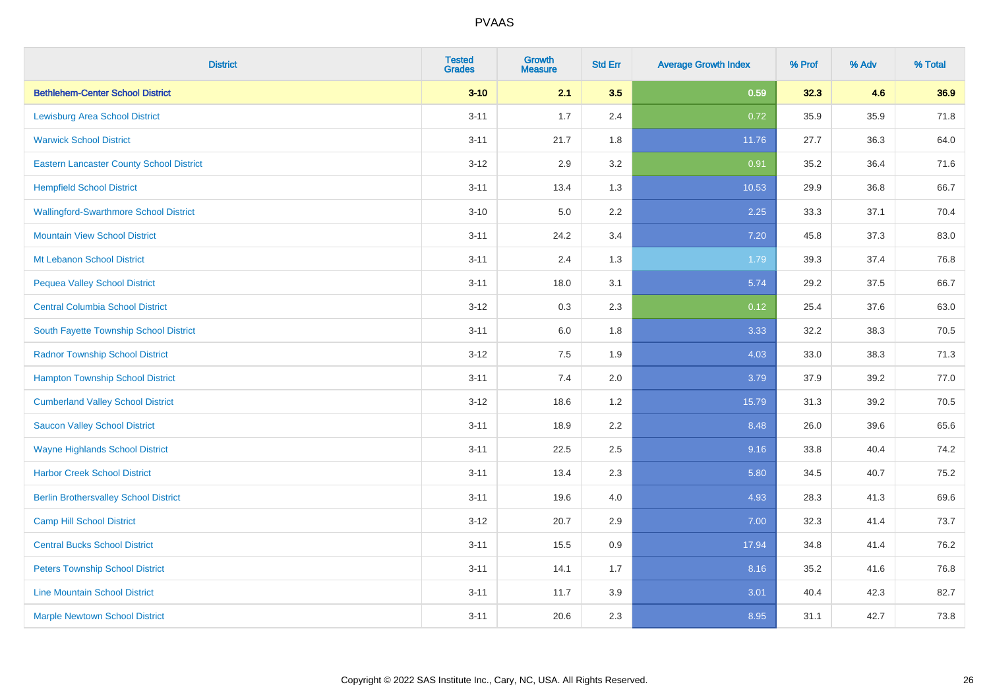| <b>District</b>                                 | <b>Tested</b><br><b>Grades</b> | <b>Growth</b><br><b>Measure</b> | <b>Std Err</b> | <b>Average Growth Index</b> | % Prof | % Adv | % Total |
|-------------------------------------------------|--------------------------------|---------------------------------|----------------|-----------------------------|--------|-------|---------|
| <b>Bethlehem-Center School District</b>         | $3 - 10$                       | 2.1                             | 3.5            | 0.59                        | 32.3   | 4.6   | 36.9    |
| <b>Lewisburg Area School District</b>           | $3 - 11$                       | 1.7                             | 2.4            | 0.72                        | 35.9   | 35.9  | 71.8    |
| <b>Warwick School District</b>                  | $3 - 11$                       | 21.7                            | 1.8            | 11.76                       | 27.7   | 36.3  | 64.0    |
| <b>Eastern Lancaster County School District</b> | $3 - 12$                       | 2.9                             | 3.2            | 0.91                        | 35.2   | 36.4  | 71.6    |
| <b>Hempfield School District</b>                | $3 - 11$                       | 13.4                            | 1.3            | 10.53                       | 29.9   | 36.8  | 66.7    |
| <b>Wallingford-Swarthmore School District</b>   | $3 - 10$                       | 5.0                             | 2.2            | 2.25                        | 33.3   | 37.1  | 70.4    |
| <b>Mountain View School District</b>            | $3 - 11$                       | 24.2                            | 3.4            | $7.20$                      | 45.8   | 37.3  | 83.0    |
| Mt Lebanon School District                      | $3 - 11$                       | 2.4                             | 1.3            | 1.79                        | 39.3   | 37.4  | 76.8    |
| <b>Pequea Valley School District</b>            | $3 - 11$                       | 18.0                            | 3.1            | 5.74                        | 29.2   | 37.5  | 66.7    |
| <b>Central Columbia School District</b>         | $3 - 12$                       | 0.3                             | 2.3            | 0.12                        | 25.4   | 37.6  | 63.0    |
| South Fayette Township School District          | $3 - 11$                       | 6.0                             | 1.8            | 3.33                        | 32.2   | 38.3  | 70.5    |
| <b>Radnor Township School District</b>          | $3 - 12$                       | 7.5                             | 1.9            | 4.03                        | 33.0   | 38.3  | 71.3    |
| <b>Hampton Township School District</b>         | $3 - 11$                       | $7.4$                           | 2.0            | 3.79                        | 37.9   | 39.2  | 77.0    |
| <b>Cumberland Valley School District</b>        | $3 - 12$                       | 18.6                            | 1.2            | 15.79                       | 31.3   | 39.2  | 70.5    |
| <b>Saucon Valley School District</b>            | $3 - 11$                       | 18.9                            | 2.2            | 8.48                        | 26.0   | 39.6  | 65.6    |
| <b>Wayne Highlands School District</b>          | $3 - 11$                       | 22.5                            | 2.5            | 9.16                        | 33.8   | 40.4  | 74.2    |
| <b>Harbor Creek School District</b>             | $3 - 11$                       | 13.4                            | 2.3            | 5.80                        | 34.5   | 40.7  | 75.2    |
| <b>Berlin Brothersvalley School District</b>    | $3 - 11$                       | 19.6                            | 4.0            | 4.93                        | 28.3   | 41.3  | 69.6    |
| <b>Camp Hill School District</b>                | $3 - 12$                       | 20.7                            | 2.9            | 7.00                        | 32.3   | 41.4  | 73.7    |
| <b>Central Bucks School District</b>            | $3 - 11$                       | 15.5                            | 0.9            | 17.94                       | 34.8   | 41.4  | 76.2    |
| <b>Peters Township School District</b>          | $3 - 11$                       | 14.1                            | 1.7            | 8.16                        | 35.2   | 41.6  | 76.8    |
| <b>Line Mountain School District</b>            | $3 - 11$                       | 11.7                            | 3.9            | 3.01                        | 40.4   | 42.3  | 82.7    |
| <b>Marple Newtown School District</b>           | $3 - 11$                       | 20.6                            | 2.3            | 8.95                        | 31.1   | 42.7  | 73.8    |